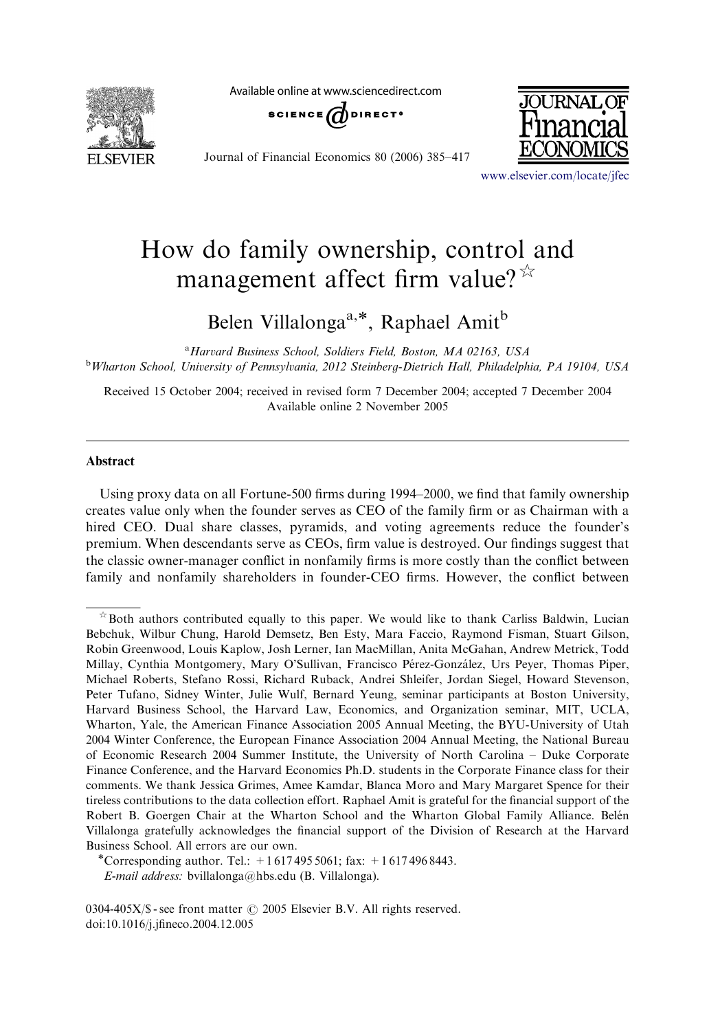

Available online at www.sciencedirect.com



Journal of Financial Economics 80 (2006) 385–417



<www.elsevier.com/locate/jfec>

# How do family ownership, control and management affect firm value?  $\overrightarrow{r}$

Belen Villalonga<sup>a,\*</sup>, Raphael Amit<sup>b</sup>

<sup>a</sup>Harvard Business School, Soldiers Field, Boston, MA 02163, USA <sup>b</sup>Wharton School, University of Pennsylvania, 2012 Steinberg-Dietrich Hall, Philadelphia, PA 19104, USA

Received 15 October 2004; received in revised form 7 December 2004; accepted 7 December 2004 Available online 2 November 2005

#### Abstract

Using proxy data on all Fortune-500 firms during 1994–2000, we find that family ownership creates value only when the founder serves as CEO of the family firm or as Chairman with a hired CEO. Dual share classes, pyramids, and voting agreements reduce the founder's premium. When descendants serve as CEOs, firm value is destroyed. Our findings suggest that the classic owner-manager conflict in nonfamily firms is more costly than the conflict between family and nonfamily shareholders in founder-CEO firms. However, the conflict between

 $\hat{B}$  Both authors contributed equally to this paper. We would like to thank Carliss Baldwin, Lucian Bebchuk, Wilbur Chung, Harold Demsetz, Ben Esty, Mara Faccio, Raymond Fisman, Stuart Gilson, Robin Greenwood, Louis Kaplow, Josh Lerner, Ian MacMillan, Anita McGahan, Andrew Metrick, Todd Millay, Cynthia Montgomery, Mary O'Sullivan, Francisco Pérez-González, Urs Peyer, Thomas Piper, Michael Roberts, Stefano Rossi, Richard Ruback, Andrei Shleifer, Jordan Siegel, Howard Stevenson, Peter Tufano, Sidney Winter, Julie Wulf, Bernard Yeung, seminar participants at Boston University, Harvard Business School, the Harvard Law, Economics, and Organization seminar, MIT, UCLA, Wharton, Yale, the American Finance Association 2005 Annual Meeting, the BYU-University of Utah 2004 Winter Conference, the European Finance Association 2004 Annual Meeting, the National Bureau of Economic Research 2004 Summer Institute, the University of North Carolina – Duke Corporate Finance Conference, and the Harvard Economics Ph.D. students in the Corporate Finance class for their comments. We thank Jessica Grimes, Amee Kamdar, Blanca Moro and Mary Margaret Spence for their tireless contributions to the data collection effort. Raphael Amit is grateful for the financial support of the Robert B. Goergen Chair at the Wharton School and the Wharton Global Family Alliance. Belén Villalonga gratefully acknowledges the financial support of the Division of Research at the Harvard Business School. All errors are our own.<br>
\*Corresponding author. Tel.:  $+16174955061$ ; fax:  $+16174968443$ .

E-mail address: bvillalonga@hbs.edu (B. Villalonga).

 $0304-405X/\$  - see front matter  $\odot$  2005 Elsevier B.V. All rights reserved. doi:10.1016/j.jfineco.2004.12.005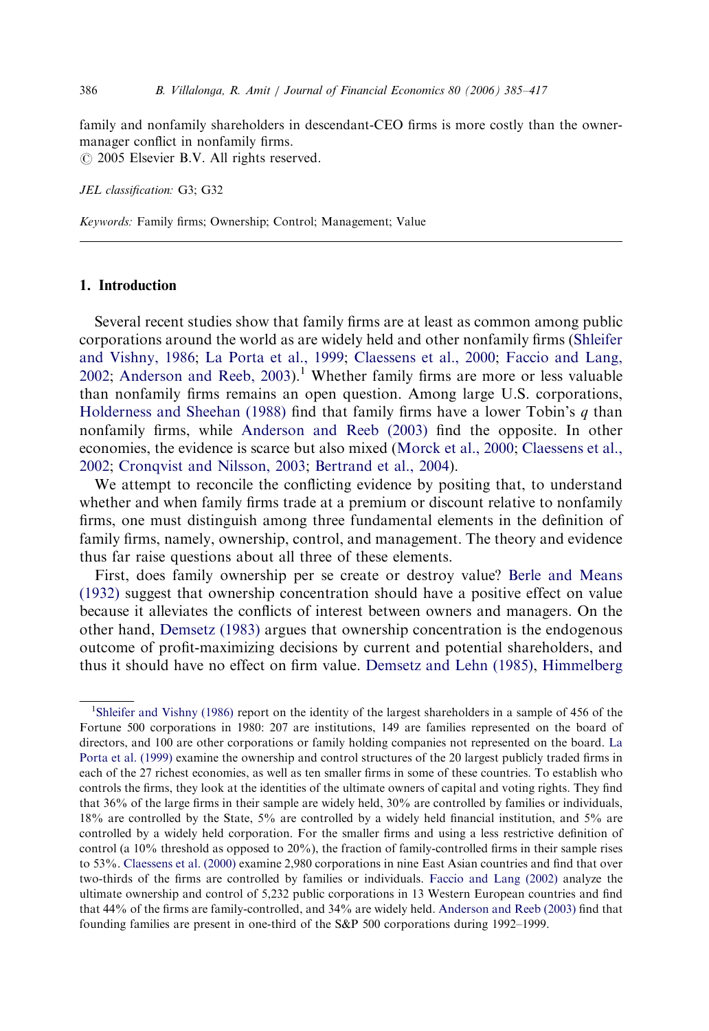family and nonfamily shareholders in descendant-CEO firms is more costly than the ownermanager conflict in nonfamily firms.

 $\odot$  2005 Elsevier B.V. All rights reserved.

JEL classification: G3; G32

Keywords: Family firms; Ownership; Control; Management; Value

## 1. Introduction

Several recent studies show that family firms are at least as common among public corporations around the world as are widely held and other nonfamily firms ([Shleifer](#page-32-0) [and Vishny, 1986;](#page-32-0) [La Porta et al., 1999](#page-31-0); [Claessens et al., 2000](#page-31-0); [Faccio and Lang,](#page-31-0) [2002](#page-31-0); [Anderson and Reeb, 2003](#page-30-0)).<sup>1</sup> Whether family firms are more or less valuable than nonfamily firms remains an open question. Among large U.S. corporations, [Holderness and Sheehan \(1988\)](#page-31-0) find that family firms have a lower Tobin's  $q$  than nonfamily firms, while [Anderson and Reeb \(2003\)](#page-30-0) find the opposite. In other economies, the evidence is scarce but also mixed ([Morck et al., 2000](#page-32-0); [Claessens et al.,](#page-31-0) [2002](#page-31-0); [Cronqvist and Nilsson, 2003;](#page-31-0) [Bertrand et al., 2004\)](#page-31-0).

We attempt to reconcile the conflicting evidence by positing that, to understand whether and when family firms trade at a premium or discount relative to nonfamily firms, one must distinguish among three fundamental elements in the definition of family firms, namely, ownership, control, and management. The theory and evidence thus far raise questions about all three of these elements.

First, does family ownership per se create or destroy value? [Berle and Means](#page-31-0) [\(1932\)](#page-31-0) suggest that ownership concentration should have a positive effect on value because it alleviates the conflicts of interest between owners and managers. On the other hand, [Demsetz \(1983\)](#page-31-0) argues that ownership concentration is the endogenous outcome of profit-maximizing decisions by current and potential shareholders, and thus it should have no effect on firm value. [Demsetz and Lehn \(1985\)](#page-31-0), [Himmelberg](#page-31-0)

<sup>&</sup>lt;sup>1</sup>[Shleifer and Vishny \(1986\)](#page-32-0) report on the identity of the largest shareholders in a sample of 456 of the Fortune 500 corporations in 1980: 207 are institutions, 149 are families represented on the board of directors, and 100 are other corporations or family holding companies not represented on the board. [La](#page-31-0) [Porta et al. \(1999\)](#page-31-0) examine the ownership and control structures of the 20 largest publicly traded firms in each of the 27 richest economies, as well as ten smaller firms in some of these countries. To establish who controls the firms, they look at the identities of the ultimate owners of capital and voting rights. They find that 36% of the large firms in their sample are widely held, 30% are controlled by families or individuals, 18% are controlled by the State, 5% are controlled by a widely held financial institution, and 5% are controlled by a widely held corporation. For the smaller firms and using a less restrictive definition of control (a 10% threshold as opposed to 20%), the fraction of family-controlled firms in their sample rises to 53%. [Claessens et al. \(2000\)](#page-31-0) examine 2,980 corporations in nine East Asian countries and find that over two-thirds of the firms are controlled by families or individuals. [Faccio and Lang \(2002\)](#page-31-0) analyze the ultimate ownership and control of 5,232 public corporations in 13 Western European countries and find that 44% of the firms are family-controlled, and 34% are widely held. [Anderson and Reeb \(2003\)](#page-30-0) find that founding families are present in one-third of the S&P 500 corporations during 1992–1999.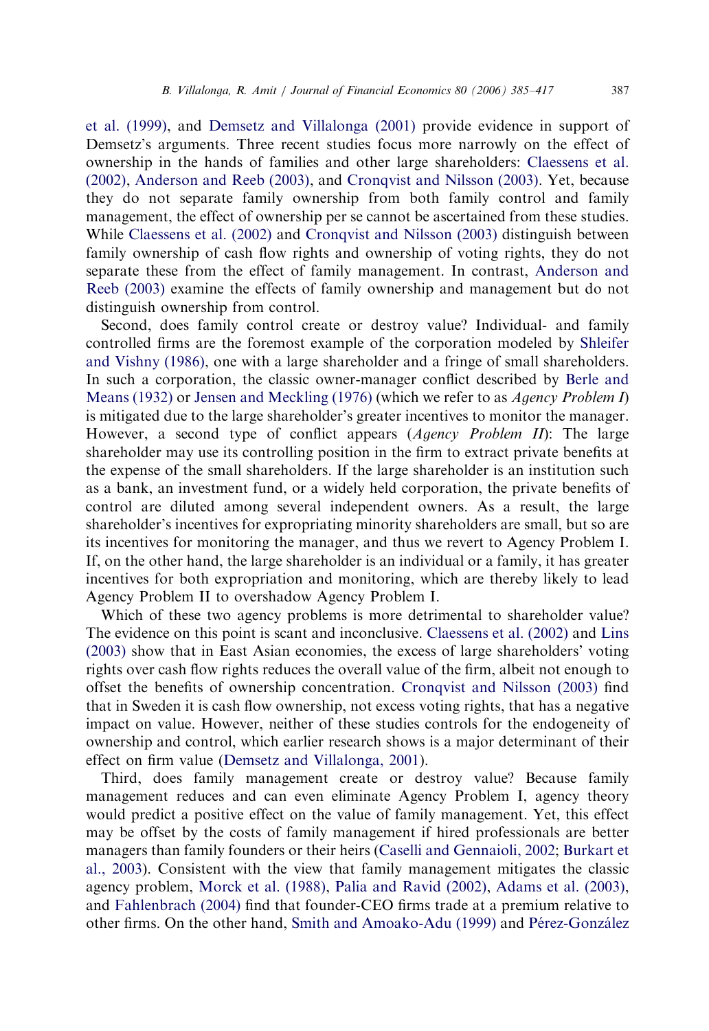[et al. \(1999\)](#page-31-0), and [Demsetz and Villalonga \(2001\)](#page-31-0) provide evidence in support of Demsetz's arguments. Three recent studies focus more narrowly on the effect of ownership in the hands of families and other large shareholders: [Claessens et al.](#page-31-0) [\(2002\)](#page-31-0), [Anderson and Reeb \(2003\)](#page-30-0), and [Cronqvist and Nilsson \(2003\).](#page-31-0) Yet, because they do not separate family ownership from both family control and family management, the effect of ownership per se cannot be ascertained from these studies. While [Claessens et al. \(2002\)](#page-31-0) and [Cronqvist and Nilsson \(2003\)](#page-31-0) distinguish between family ownership of cash flow rights and ownership of voting rights, they do not separate these from the effect of family management. In contrast, [Anderson and](#page-30-0) [Reeb \(2003\)](#page-30-0) examine the effects of family ownership and management but do not distinguish ownership from control.

Second, does family control create or destroy value? Individual- and family controlled firms are the foremost example of the corporation modeled by [Shleifer](#page-32-0) [and Vishny \(1986\)](#page-32-0), one with a large shareholder and a fringe of small shareholders. In such a corporation, the classic owner-manager conflict described by [Berle and](#page-31-0) [Means \(1932\)](#page-31-0) or [Jensen and Meckling \(1976\)](#page-31-0) (which we refer to as *Agency Problem I*) is mitigated due to the large shareholder's greater incentives to monitor the manager. However, a second type of conflict appears (Agency Problem II): The large shareholder may use its controlling position in the firm to extract private benefits at the expense of the small shareholders. If the large shareholder is an institution such as a bank, an investment fund, or a widely held corporation, the private benefits of control are diluted among several independent owners. As a result, the large shareholder's incentives for expropriating minority shareholders are small, but so are its incentives for monitoring the manager, and thus we revert to Agency Problem I. If, on the other hand, the large shareholder is an individual or a family, it has greater incentives for both expropriation and monitoring, which are thereby likely to lead Agency Problem II to overshadow Agency Problem I.

Which of these two agency problems is more detrimental to shareholder value? The evidence on this point is scant and inconclusive. [Claessens et al. \(2002\)](#page-31-0) and [Lins](#page-32-0) [\(2003\)](#page-32-0) show that in East Asian economies, the excess of large shareholders' voting rights over cash flow rights reduces the overall value of the firm, albeit not enough to offset the benefits of ownership concentration. [Cronqvist and Nilsson \(2003\)](#page-31-0) find that in Sweden it is cash flow ownership, not excess voting rights, that has a negative impact on value. However, neither of these studies controls for the endogeneity of ownership and control, which earlier research shows is a major determinant of their effect on firm value ([Demsetz and Villalonga, 2001\)](#page-31-0).

Third, does family management create or destroy value? Because family management reduces and can even eliminate Agency Problem I, agency theory would predict a positive effect on the value of family management. Yet, this effect may be offset by the costs of family management if hired professionals are better managers than family founders or their heirs [\(Caselli and Gennaioli, 2002;](#page-31-0) [Burkart et](#page-31-0) [al., 2003\)](#page-31-0). Consistent with the view that family management mitigates the classic agency problem, [Morck et al. \(1988\)](#page-32-0), [Palia and Ravid \(2002\)](#page-32-0), [Adams et al. \(2003\),](#page-30-0) and [Fahlenbrach \(2004\)](#page-31-0) find that founder-CEO firms trade at a premium relative to other firms. On the other hand, [Smith and Amoako-Adu \(1999\)](#page-32-0) and Pérez-González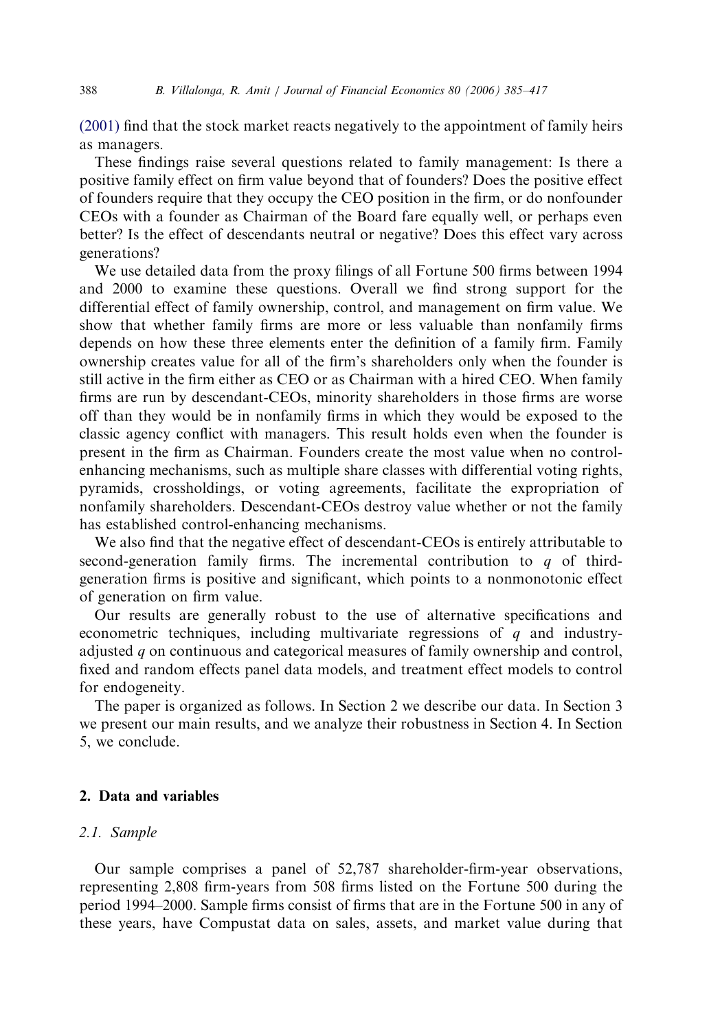[\(2001\)](#page-32-0) find that the stock market reacts negatively to the appointment of family heirs as managers.

These findings raise several questions related to family management: Is there a positive family effect on firm value beyond that of founders? Does the positive effect of founders require that they occupy the CEO position in the firm, or do nonfounder CEOs with a founder as Chairman of the Board fare equally well, or perhaps even better? Is the effect of descendants neutral or negative? Does this effect vary across generations?

We use detailed data from the proxy filings of all Fortune 500 firms between 1994 and 2000 to examine these questions. Overall we find strong support for the differential effect of family ownership, control, and management on firm value. We show that whether family firms are more or less valuable than nonfamily firms depends on how these three elements enter the definition of a family firm. Family ownership creates value for all of the firm's shareholders only when the founder is still active in the firm either as CEO or as Chairman with a hired CEO. When family firms are run by descendant-CEOs, minority shareholders in those firms are worse off than they would be in nonfamily firms in which they would be exposed to the classic agency conflict with managers. This result holds even when the founder is present in the firm as Chairman. Founders create the most value when no controlenhancing mechanisms, such as multiple share classes with differential voting rights, pyramids, crossholdings, or voting agreements, facilitate the expropriation of nonfamily shareholders. Descendant-CEOs destroy value whether or not the family has established control-enhancing mechanisms.

We also find that the negative effect of descendant-CEOs is entirely attributable to second-generation family firms. The incremental contribution to  $q$  of thirdgeneration firms is positive and significant, which points to a nonmonotonic effect of generation on firm value.

Our results are generally robust to the use of alternative specifications and econometric techniques, including multivariate regressions of  $q$  and industryadjusted  $q$  on continuous and categorical measures of family ownership and control, fixed and random effects panel data models, and treatment effect models to control for endogeneity.

The paper is organized as follows. In Section 2 we describe our data. In Section 3 we present our main results, and we analyze their robustness in Section 4. In Section 5, we conclude.

## 2. Data and variables

## 2.1. Sample

Our sample comprises a panel of 52,787 shareholder-firm-year observations, representing 2,808 firm-years from 508 firms listed on the Fortune 500 during the period 1994–2000. Sample firms consist of firms that are in the Fortune 500 in any of these years, have Compustat data on sales, assets, and market value during that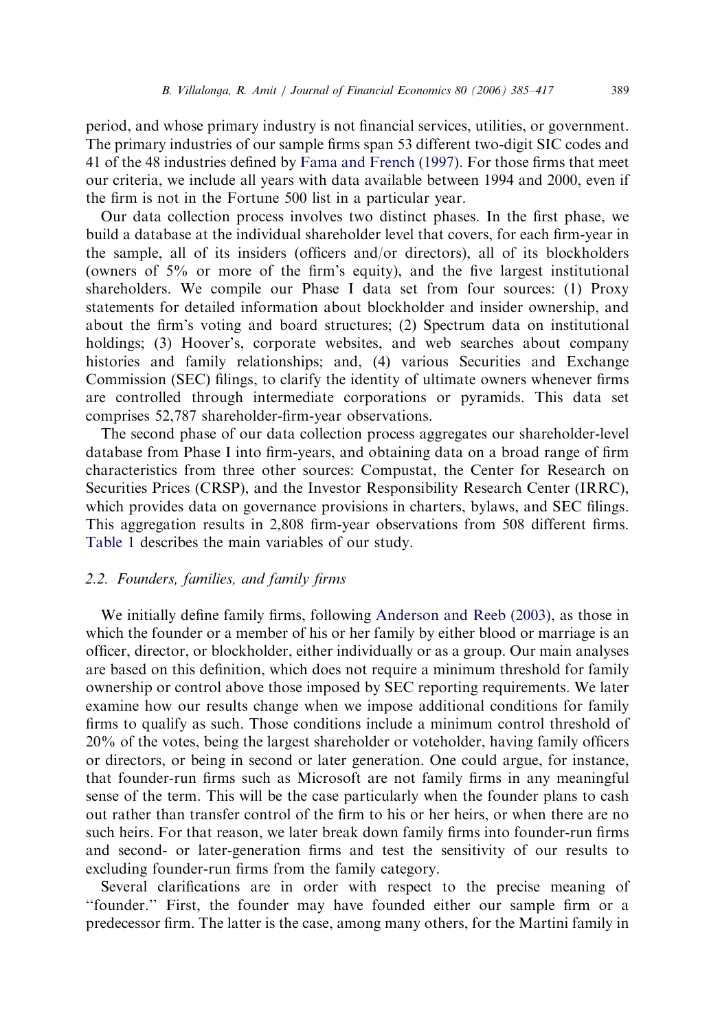period, and whose primary industry is not financial services, utilities, or government. The primary industries of our sample firms span 53 different two-digit SIC codes and 41 of the 48 industries defined by [Fama and French \(1997\)](#page-31-0). For those firms that meet our criteria, we include all years with data available between 1994 and 2000, even if the firm is not in the Fortune 500 list in a particular year.

Our data collection process involves two distinct phases. In the first phase, we build a database at the individual shareholder level that covers, for each firm-year in the sample, all of its insiders (officers and/or directors), all of its blockholders (owners of 5% or more of the firm's equity), and the five largest institutional shareholders. We compile our Phase I data set from four sources: (1) Proxy statements for detailed information about blockholder and insider ownership, and about the firm's voting and board structures; (2) Spectrum data on institutional holdings; (3) Hoover's, corporate websites, and web searches about company histories and family relationships; and, (4) various Securities and Exchange Commission (SEC) filings, to clarify the identity of ultimate owners whenever firms are controlled through intermediate corporations or pyramids. This data set comprises 52,787 shareholder-firm-year observations.

The second phase of our data collection process aggregates our shareholder-level database from Phase I into firm-years, and obtaining data on a broad range of firm characteristics from three other sources: Compustat, the Center for Research on Securities Prices (CRSP), and the Investor Responsibility Research Center (IRRC), which provides data on governance provisions in charters, bylaws, and SEC filings. This aggregation results in 2,808 firm-year observations from 508 different firms. [Table 1](#page-5-0) describes the main variables of our study.

## 2.2. Founders, families, and family firms

We initially define family firms, following [Anderson and Reeb \(2003\),](#page-30-0) as those in which the founder or a member of his or her family by either blood or marriage is an officer, director, or blockholder, either individually or as a group. Our main analyses are based on this definition, which does not require a minimum threshold for family ownership or control above those imposed by SEC reporting requirements. We later examine how our results change when we impose additional conditions for family firms to qualify as such. Those conditions include a minimum control threshold of 20% of the votes, being the largest shareholder or voteholder, having family officers or directors, or being in second or later generation. One could argue, for instance, that founder-run firms such as Microsoft are not family firms in any meaningful sense of the term. This will be the case particularly when the founder plans to cash out rather than transfer control of the firm to his or her heirs, or when there are no such heirs. For that reason, we later break down family firms into founder-run firms and second- or later-generation firms and test the sensitivity of our results to excluding founder-run firms from the family category.

Several clarifications are in order with respect to the precise meaning of ''founder.'' First, the founder may have founded either our sample firm or a predecessor firm. The latter is the case, among many others, for the Martini family in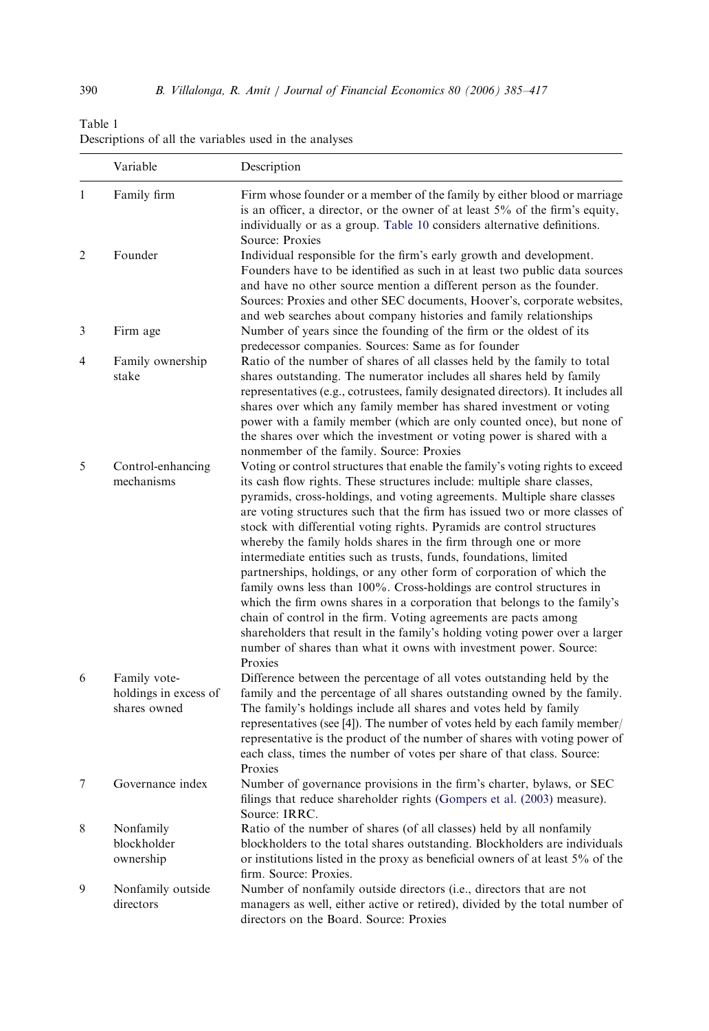|                | Variable                                              | Description                                                                                                                                                                                                                                                                                                                                                                                                                                                                                                                                                                                                                                                                                                                                                                                                                                                                                                                                                                                        |
|----------------|-------------------------------------------------------|----------------------------------------------------------------------------------------------------------------------------------------------------------------------------------------------------------------------------------------------------------------------------------------------------------------------------------------------------------------------------------------------------------------------------------------------------------------------------------------------------------------------------------------------------------------------------------------------------------------------------------------------------------------------------------------------------------------------------------------------------------------------------------------------------------------------------------------------------------------------------------------------------------------------------------------------------------------------------------------------------|
| $\mathbf{1}$   | Family firm                                           | Firm whose founder or a member of the family by either blood or marriage<br>is an officer, a director, or the owner of at least 5% of the firm's equity,<br>individually or as a group. Table 10 considers alternative definitions.<br>Source: Proxies                                                                                                                                                                                                                                                                                                                                                                                                                                                                                                                                                                                                                                                                                                                                             |
| $\overline{2}$ | Founder                                               | Individual responsible for the firm's early growth and development.<br>Founders have to be identified as such in at least two public data sources<br>and have no other source mention a different person as the founder.<br>Sources: Proxies and other SEC documents, Hoover's, corporate websites,<br>and web searches about company histories and family relationships                                                                                                                                                                                                                                                                                                                                                                                                                                                                                                                                                                                                                           |
| 3              | Firm age                                              | Number of years since the founding of the firm or the oldest of its<br>predecessor companies. Sources: Same as for founder                                                                                                                                                                                                                                                                                                                                                                                                                                                                                                                                                                                                                                                                                                                                                                                                                                                                         |
| 4              | Family ownership<br>stake                             | Ratio of the number of shares of all classes held by the family to total<br>shares outstanding. The numerator includes all shares held by family<br>representatives (e.g., cotrustees, family designated directors). It includes all<br>shares over which any family member has shared investment or voting<br>power with a family member (which are only counted once), but none of<br>the shares over which the investment or voting power is shared with a<br>nonmember of the family. Source: Proxies                                                                                                                                                                                                                                                                                                                                                                                                                                                                                          |
| 5              | Control-enhancing<br>mechanisms                       | Voting or control structures that enable the family's voting rights to exceed<br>its cash flow rights. These structures include: multiple share classes,<br>pyramids, cross-holdings, and voting agreements. Multiple share classes<br>are voting structures such that the firm has issued two or more classes of<br>stock with differential voting rights. Pyramids are control structures<br>whereby the family holds shares in the firm through one or more<br>intermediate entities such as trusts, funds, foundations, limited<br>partnerships, holdings, or any other form of corporation of which the<br>family owns less than 100%. Cross-holdings are control structures in<br>which the firm owns shares in a corporation that belongs to the family's<br>chain of control in the firm. Voting agreements are pacts among<br>shareholders that result in the family's holding voting power over a larger<br>number of shares than what it owns with investment power. Source:<br>Proxies |
| 6              | Family vote-<br>holdings in excess of<br>shares owned | Difference between the percentage of all votes outstanding held by the<br>family and the percentage of all shares outstanding owned by the family.<br>The family's holdings include all shares and votes held by family<br>representatives (see [4]). The number of votes held by each family member/<br>representative is the product of the number of shares with voting power of<br>each class, times the number of votes per share of that class. Source:<br>Proxies                                                                                                                                                                                                                                                                                                                                                                                                                                                                                                                           |
| 7              | Governance index                                      | Number of governance provisions in the firm's charter, bylaws, or SEC<br>filings that reduce shareholder rights (Gompers et al. (2003) measure).<br>Source: IRRC.                                                                                                                                                                                                                                                                                                                                                                                                                                                                                                                                                                                                                                                                                                                                                                                                                                  |
| 8              | Nonfamily<br>blockholder<br>ownership                 | Ratio of the number of shares (of all classes) held by all nonfamily<br>blockholders to the total shares outstanding. Blockholders are individuals<br>or institutions listed in the proxy as beneficial owners of at least 5% of the<br>firm. Source: Proxies.                                                                                                                                                                                                                                                                                                                                                                                                                                                                                                                                                                                                                                                                                                                                     |
| 9              | Nonfamily outside<br>directors                        | Number of nonfamily outside directors (i.e., directors that are not<br>managers as well, either active or retired), divided by the total number of                                                                                                                                                                                                                                                                                                                                                                                                                                                                                                                                                                                                                                                                                                                                                                                                                                                 |

directors on the Board. Source: Proxies

<span id="page-5-0"></span>Table 1 Descriptions of all the variables used in the analyses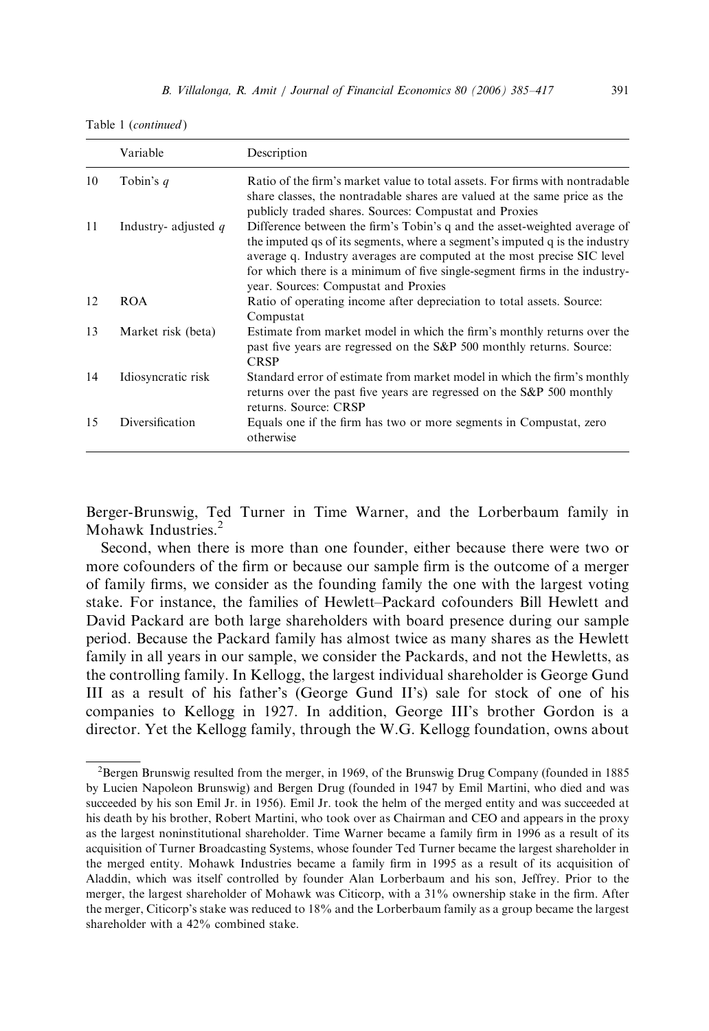|  | Table 1 ( <i>continued</i> ) |  |
|--|------------------------------|--|
|--|------------------------------|--|

|    | Variable               | Description                                                                                                                                                                                                                                                                                                                                               |
|----|------------------------|-----------------------------------------------------------------------------------------------------------------------------------------------------------------------------------------------------------------------------------------------------------------------------------------------------------------------------------------------------------|
| 10 | Tobin's $q$            | Ratio of the firm's market value to total assets. For firms with nontradable<br>share classes, the nontradable shares are valued at the same price as the<br>publicly traded shares. Sources: Compustat and Proxies                                                                                                                                       |
| 11 | Industry- adjusted $q$ | Difference between the firm's Tobin's q and the asset-weighted average of<br>the imputed qs of its segments, where a segment's imputed q is the industry<br>average q. Industry averages are computed at the most precise SIC level<br>for which there is a minimum of five single-segment firms in the industry-<br>year. Sources: Compustat and Proxies |
| 12 | <b>ROA</b>             | Ratio of operating income after depreciation to total assets. Source:<br>Compustat                                                                                                                                                                                                                                                                        |
| 13 | Market risk (beta)     | Estimate from market model in which the firm's monthly returns over the<br>past five years are regressed on the S&P 500 monthly returns. Source:<br><b>CRSP</b>                                                                                                                                                                                           |
| 14 | Idiosyncratic risk     | Standard error of estimate from market model in which the firm's monthly<br>returns over the past five years are regressed on the S&P 500 monthly<br>returns. Source: CRSP                                                                                                                                                                                |
| 15 | Diversification        | Equals one if the firm has two or more segments in Compustat, zero<br>otherwise                                                                                                                                                                                                                                                                           |

Berger-Brunswig, Ted Turner in Time Warner, and the Lorberbaum family in Mohawk Industries<sup>2</sup>

Second, when there is more than one founder, either because there were two or more cofounders of the firm or because our sample firm is the outcome of a merger of family firms, we consider as the founding family the one with the largest voting stake. For instance, the families of Hewlett–Packard cofounders Bill Hewlett and David Packard are both large shareholders with board presence during our sample period. Because the Packard family has almost twice as many shares as the Hewlett family in all years in our sample, we consider the Packards, and not the Hewletts, as the controlling family. In Kellogg, the largest individual shareholder is George Gund III as a result of his father's (George Gund II's) sale for stock of one of his companies to Kellogg in 1927. In addition, George III's brother Gordon is a director. Yet the Kellogg family, through the W.G. Kellogg foundation, owns about

<sup>&</sup>lt;sup>2</sup>Bergen Brunswig resulted from the merger, in 1969, of the Brunswig Drug Company (founded in 1885 by Lucien Napoleon Brunswig) and Bergen Drug (founded in 1947 by Emil Martini, who died and was succeeded by his son Emil Jr. in 1956). Emil Jr. took the helm of the merged entity and was succeeded at his death by his brother, Robert Martini, who took over as Chairman and CEO and appears in the proxy as the largest noninstitutional shareholder. Time Warner became a family firm in 1996 as a result of its acquisition of Turner Broadcasting Systems, whose founder Ted Turner became the largest shareholder in the merged entity. Mohawk Industries became a family firm in 1995 as a result of its acquisition of Aladdin, which was itself controlled by founder Alan Lorberbaum and his son, Jeffrey. Prior to the merger, the largest shareholder of Mohawk was Citicorp, with a 31% ownership stake in the firm. After the merger, Citicorp's stake was reduced to 18% and the Lorberbaum family as a group became the largest shareholder with a 42% combined stake.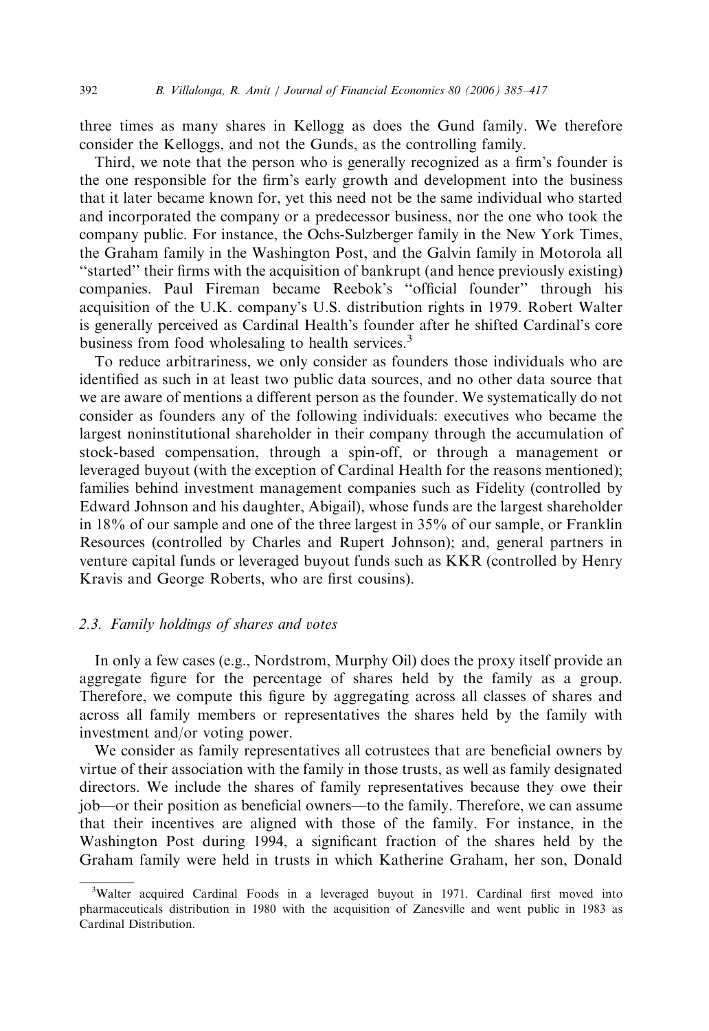three times as many shares in Kellogg as does the Gund family. We therefore consider the Kelloggs, and not the Gunds, as the controlling family.

Third, we note that the person who is generally recognized as a firm's founder is the one responsible for the firm's early growth and development into the business that it later became known for, yet this need not be the same individual who started and incorporated the company or a predecessor business, nor the one who took the company public. For instance, the Ochs-Sulzberger family in the New York Times, the Graham family in the Washington Post, and the Galvin family in Motorola all ''started'' their firms with the acquisition of bankrupt (and hence previously existing) companies. Paul Fireman became Reebok's ''official founder'' through his acquisition of the U.K. company's U.S. distribution rights in 1979. Robert Walter is generally perceived as Cardinal Health's founder after he shifted Cardinal's core business from food wholesaling to health services.<sup>3</sup>

To reduce arbitrariness, we only consider as founders those individuals who are identified as such in at least two public data sources, and no other data source that we are aware of mentions a different person as the founder. We systematically do not consider as founders any of the following individuals: executives who became the largest noninstitutional shareholder in their company through the accumulation of stock-based compensation, through a spin-off, or through a management or leveraged buyout (with the exception of Cardinal Health for the reasons mentioned); families behind investment management companies such as Fidelity (controlled by Edward Johnson and his daughter, Abigail), whose funds are the largest shareholder in 18% of our sample and one of the three largest in 35% of our sample, or Franklin Resources (controlled by Charles and Rupert Johnson); and, general partners in venture capital funds or leveraged buyout funds such as KKR (controlled by Henry Kravis and George Roberts, who are first cousins).

## 2.3. Family holdings of shares and votes

In only a few cases (e.g., Nordstrom, Murphy Oil) does the proxy itself provide an aggregate figure for the percentage of shares held by the family as a group. Therefore, we compute this figure by aggregating across all classes of shares and across all family members or representatives the shares held by the family with investment and/or voting power.

We consider as family representatives all cotrustees that are beneficial owners by virtue of their association with the family in those trusts, as well as family designated directors. We include the shares of family representatives because they owe their job—or their position as beneficial owners—to the family. Therefore, we can assume that their incentives are aligned with those of the family. For instance, in the Washington Post during 1994, a significant fraction of the shares held by the Graham family were held in trusts in which Katherine Graham, her son, Donald

<sup>&</sup>lt;sup>3</sup>Walter acquired Cardinal Foods in a leveraged buyout in 1971. Cardinal first moved into pharmaceuticals distribution in 1980 with the acquisition of Zanesville and went public in 1983 as Cardinal Distribution.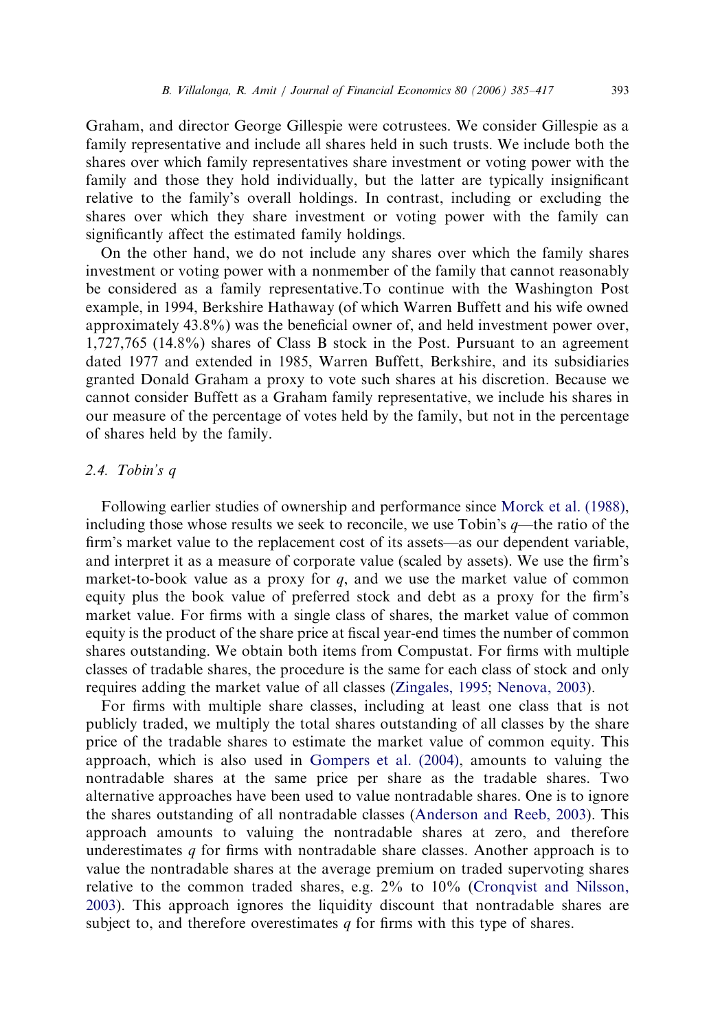Graham, and director George Gillespie were cotrustees. We consider Gillespie as a family representative and include all shares held in such trusts. We include both the shares over which family representatives share investment or voting power with the family and those they hold individually, but the latter are typically insignificant relative to the family's overall holdings. In contrast, including or excluding the shares over which they share investment or voting power with the family can significantly affect the estimated family holdings.

On the other hand, we do not include any shares over which the family shares investment or voting power with a nonmember of the family that cannot reasonably be considered as a family representative.To continue with the Washington Post example, in 1994, Berkshire Hathaway (of which Warren Buffett and his wife owned approximately 43.8%) was the beneficial owner of, and held investment power over, 1,727,765 (14.8%) shares of Class B stock in the Post. Pursuant to an agreement dated 1977 and extended in 1985, Warren Buffett, Berkshire, and its subsidiaries granted Donald Graham a proxy to vote such shares at his discretion. Because we cannot consider Buffett as a Graham family representative, we include his shares in our measure of the percentage of votes held by the family, but not in the percentage of shares held by the family.

## 2.4. Tobin's q

Following earlier studies of ownership and performance since [Morck et al. \(1988\),](#page-32-0) including those whose results we seek to reconcile, we use Tobin's  $q$ —the ratio of the firm's market value to the replacement cost of its assets—as our dependent variable, and interpret it as a measure of corporate value (scaled by assets). We use the firm's market-to-book value as a proxy for  $q$ , and we use the market value of common equity plus the book value of preferred stock and debt as a proxy for the firm's market value. For firms with a single class of shares, the market value of common equity is the product of the share price at fiscal year-end times the number of common shares outstanding. We obtain both items from Compustat. For firms with multiple classes of tradable shares, the procedure is the same for each class of stock and only requires adding the market value of all classes [\(Zingales, 1995](#page-32-0); [Nenova, 2003](#page-32-0)).

For firms with multiple share classes, including at least one class that is not publicly traded, we multiply the total shares outstanding of all classes by the share price of the tradable shares to estimate the market value of common equity. This approach, which is also used in [Gompers et al. \(2004\)](#page-31-0), amounts to valuing the nontradable shares at the same price per share as the tradable shares. Two alternative approaches have been used to value nontradable shares. One is to ignore the shares outstanding of all nontradable classes [\(Anderson and Reeb, 2003](#page-30-0)). This approach amounts to valuing the nontradable shares at zero, and therefore underestimates  $q$  for firms with nontradable share classes. Another approach is to value the nontradable shares at the average premium on traded supervoting shares relative to the common traded shares, e.g. 2% to 10% ([Cronqvist and Nilsson,](#page-31-0) [2003\)](#page-31-0). This approach ignores the liquidity discount that nontradable shares are subject to, and therefore overestimates  $q$  for firms with this type of shares.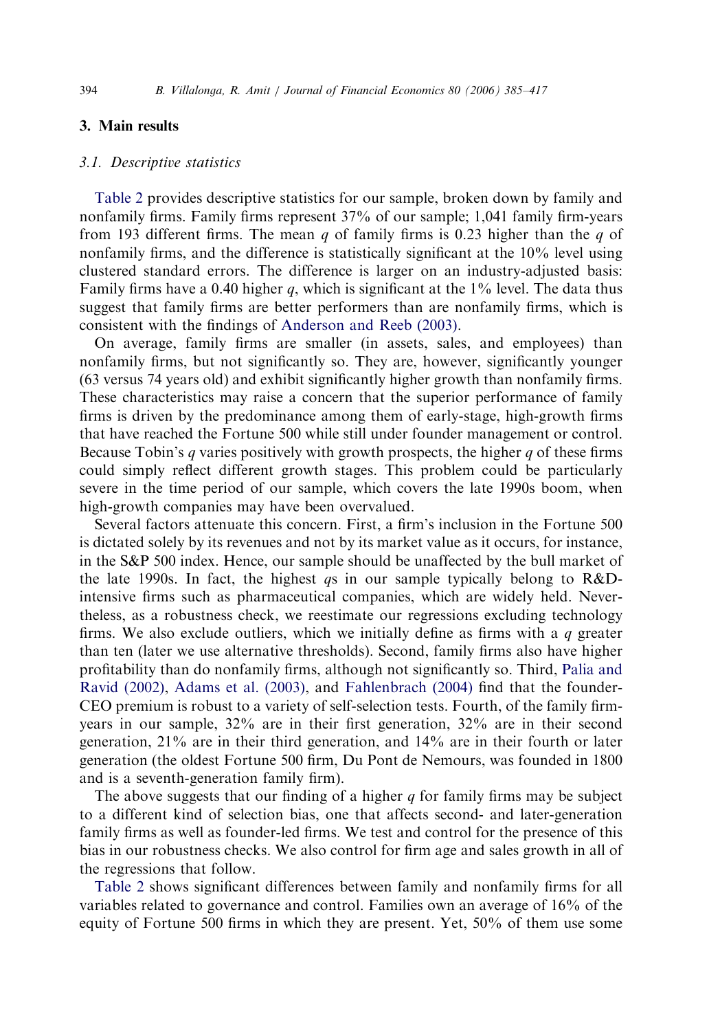## 3. Main results

## 3.1. Descriptive statistics

[Table 2](#page-10-0) provides descriptive statistics for our sample, broken down by family and nonfamily firms. Family firms represent 37% of our sample; 1,041 family firm-years from 193 different firms. The mean q of family firms is 0.23 higher than the q of nonfamily firms, and the difference is statistically significant at the 10% level using clustered standard errors. The difference is larger on an industry-adjusted basis: Family firms have a 0.40 higher q, which is significant at the  $1\%$  level. The data thus suggest that family firms are better performers than are nonfamily firms, which is consistent with the findings of [Anderson and Reeb \(2003\)](#page-30-0).

On average, family firms are smaller (in assets, sales, and employees) than nonfamily firms, but not significantly so. They are, however, significantly younger (63 versus 74 years old) and exhibit significantly higher growth than nonfamily firms. These characteristics may raise a concern that the superior performance of family firms is driven by the predominance among them of early-stage, high-growth firms that have reached the Fortune 500 while still under founder management or control. Because Tobin's  $q$  varies positively with growth prospects, the higher  $q$  of these firms could simply reflect different growth stages. This problem could be particularly severe in the time period of our sample, which covers the late 1990s boom, when high-growth companies may have been overvalued.

Several factors attenuate this concern. First, a firm's inclusion in the Fortune 500 is dictated solely by its revenues and not by its market value as it occurs, for instance, in the S&P 500 index. Hence, our sample should be unaffected by the bull market of the late 1990s. In fact, the highest qs in our sample typically belong to R&Dintensive firms such as pharmaceutical companies, which are widely held. Nevertheless, as a robustness check, we reestimate our regressions excluding technology firms. We also exclude outliers, which we initially define as firms with a  $q$  greater than ten (later we use alternative thresholds). Second, family firms also have higher profitability than do nonfamily firms, although not significantly so. Third, [Palia and](#page-32-0) [Ravid \(2002\),](#page-32-0) [Adams et al. \(2003\),](#page-30-0) and [Fahlenbrach \(2004\)](#page-31-0) find that the founder-CEO premium is robust to a variety of self-selection tests. Fourth, of the family firmyears in our sample, 32% are in their first generation, 32% are in their second generation, 21% are in their third generation, and 14% are in their fourth or later generation (the oldest Fortune 500 firm, Du Pont de Nemours, was founded in 1800 and is a seventh-generation family firm).

The above suggests that our finding of a higher  $q$  for family firms may be subject to a different kind of selection bias, one that affects second- and later-generation family firms as well as founder-led firms. We test and control for the presence of this bias in our robustness checks. We also control for firm age and sales growth in all of the regressions that follow.

[Table 2](#page-10-0) shows significant differences between family and nonfamily firms for all variables related to governance and control. Families own an average of 16% of the equity of Fortune 500 firms in which they are present. Yet, 50% of them use some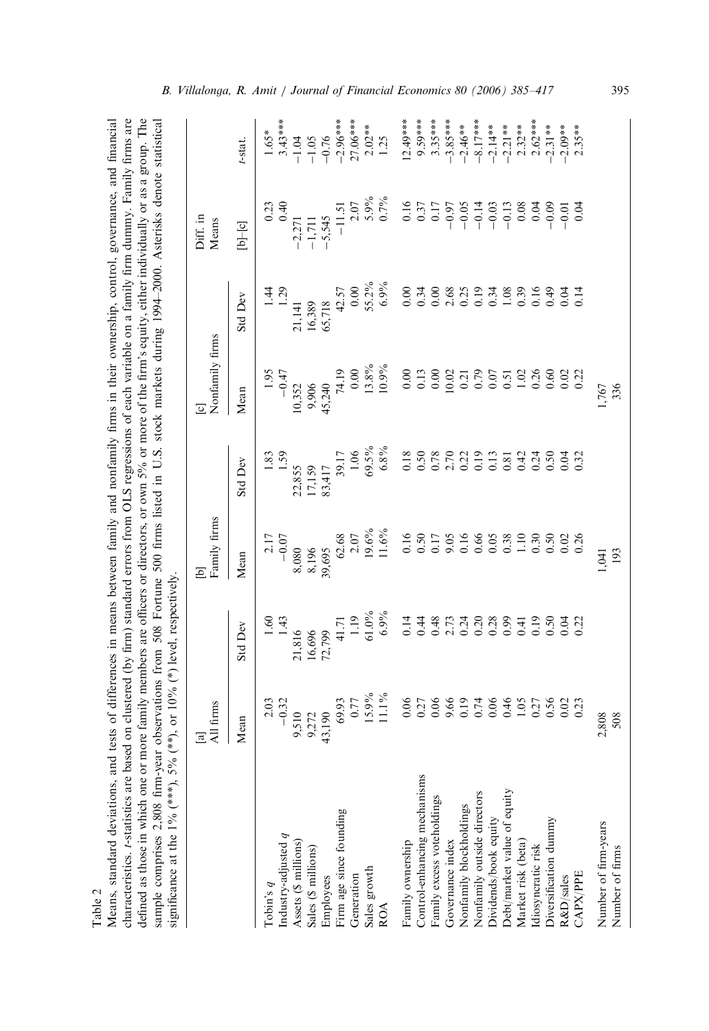|                            | t             |
|----------------------------|---------------|
| $\sim$<br>Φ<br>⊡<br>ದ<br>⊢ | Ġ<br>٤<br>Maq |

<span id="page-10-0"></span>

| ons, and tests of differences in means between family and nonfamily firms in their ownership, control, governance, and financial | are based on clustered (by firm) standard errors from OLS regressions of each variable on a family firm dummy. Family firms are | one or more family members are officers or directors, or own 5% or more of the firm's equity, either individually or as a group. The | firm-year observations from 508 Fortune 500 firms listed in U.S. stock markets during 1994-2000. Asterisks denote statistical |                                                      |
|----------------------------------------------------------------------------------------------------------------------------------|---------------------------------------------------------------------------------------------------------------------------------|--------------------------------------------------------------------------------------------------------------------------------------|-------------------------------------------------------------------------------------------------------------------------------|------------------------------------------------------|
|                                                                                                                                  |                                                                                                                                 |                                                                                                                                      |                                                                                                                               | ***), $5\%$ (**), or $10\%$ (*) level, respectively. |
| Means, standard deviatio.                                                                                                        | aracteristics. t-statistics                                                                                                     | efined as those in which                                                                                                             | ample comprises 2,808 1                                                                                                       | ignificance at the 1% (**                            |

|                                                                                                                                 | こうこく いいこ                                                                                                                                                                                                                                                                                                |                                                                                                                                                                                                                                                                                                          |                                                                                                                                                                                                                                                                                                                                                  |         |                                                                                                                                                                                                                                                                                |                                                                                                                                                                                                                                                                                                                                     |                   |                                                                                                                                                                                                                                                                                                                    |
|---------------------------------------------------------------------------------------------------------------------------------|---------------------------------------------------------------------------------------------------------------------------------------------------------------------------------------------------------------------------------------------------------------------------------------------------------|----------------------------------------------------------------------------------------------------------------------------------------------------------------------------------------------------------------------------------------------------------------------------------------------------------|--------------------------------------------------------------------------------------------------------------------------------------------------------------------------------------------------------------------------------------------------------------------------------------------------------------------------------------------------|---------|--------------------------------------------------------------------------------------------------------------------------------------------------------------------------------------------------------------------------------------------------------------------------------|-------------------------------------------------------------------------------------------------------------------------------------------------------------------------------------------------------------------------------------------------------------------------------------------------------------------------------------|-------------------|--------------------------------------------------------------------------------------------------------------------------------------------------------------------------------------------------------------------------------------------------------------------------------------------------------------------|
|                                                                                                                                 | $11$ firms                                                                                                                                                                                                                                                                                              |                                                                                                                                                                                                                                                                                                          | amily firms                                                                                                                                                                                                                                                                                                                                      |         | <b>Jonfamily</b> firms                                                                                                                                                                                                                                                         |                                                                                                                                                                                                                                                                                                                                     | Diff. in<br>Means |                                                                                                                                                                                                                                                                                                                    |
|                                                                                                                                 | Mean                                                                                                                                                                                                                                                                                                    | Std Dev                                                                                                                                                                                                                                                                                                  | Mean                                                                                                                                                                                                                                                                                                                                             | Std Dev | Mean                                                                                                                                                                                                                                                                           | Std Dev                                                                                                                                                                                                                                                                                                                             | $[b] - [c]$       | t-stat.                                                                                                                                                                                                                                                                                                            |
| Tobin's $q$                                                                                                                     |                                                                                                                                                                                                                                                                                                         |                                                                                                                                                                                                                                                                                                          |                                                                                                                                                                                                                                                                                                                                                  |         |                                                                                                                                                                                                                                                                                |                                                                                                                                                                                                                                                                                                                                     |                   |                                                                                                                                                                                                                                                                                                                    |
|                                                                                                                                 |                                                                                                                                                                                                                                                                                                         |                                                                                                                                                                                                                                                                                                          |                                                                                                                                                                                                                                                                                                                                                  |         |                                                                                                                                                                                                                                                                                |                                                                                                                                                                                                                                                                                                                                     |                   |                                                                                                                                                                                                                                                                                                                    |
| Industry-adjusted $q$<br>Assets ( $\$ millions)<br>Sales ( $\$ millions)<br>Employees                                           |                                                                                                                                                                                                                                                                                                         |                                                                                                                                                                                                                                                                                                          |                                                                                                                                                                                                                                                                                                                                                  |         |                                                                                                                                                                                                                                                                                |                                                                                                                                                                                                                                                                                                                                     |                   |                                                                                                                                                                                                                                                                                                                    |
|                                                                                                                                 |                                                                                                                                                                                                                                                                                                         |                                                                                                                                                                                                                                                                                                          |                                                                                                                                                                                                                                                                                                                                                  |         |                                                                                                                                                                                                                                                                                |                                                                                                                                                                                                                                                                                                                                     |                   |                                                                                                                                                                                                                                                                                                                    |
|                                                                                                                                 |                                                                                                                                                                                                                                                                                                         |                                                                                                                                                                                                                                                                                                          |                                                                                                                                                                                                                                                                                                                                                  |         |                                                                                                                                                                                                                                                                                |                                                                                                                                                                                                                                                                                                                                     |                   |                                                                                                                                                                                                                                                                                                                    |
| Firm age since founding                                                                                                         |                                                                                                                                                                                                                                                                                                         |                                                                                                                                                                                                                                                                                                          |                                                                                                                                                                                                                                                                                                                                                  |         |                                                                                                                                                                                                                                                                                |                                                                                                                                                                                                                                                                                                                                     |                   |                                                                                                                                                                                                                                                                                                                    |
|                                                                                                                                 |                                                                                                                                                                                                                                                                                                         |                                                                                                                                                                                                                                                                                                          |                                                                                                                                                                                                                                                                                                                                                  |         |                                                                                                                                                                                                                                                                                |                                                                                                                                                                                                                                                                                                                                     |                   |                                                                                                                                                                                                                                                                                                                    |
|                                                                                                                                 |                                                                                                                                                                                                                                                                                                         |                                                                                                                                                                                                                                                                                                          |                                                                                                                                                                                                                                                                                                                                                  |         |                                                                                                                                                                                                                                                                                |                                                                                                                                                                                                                                                                                                                                     |                   |                                                                                                                                                                                                                                                                                                                    |
| Generation<br>Sales growth<br>ROA                                                                                               |                                                                                                                                                                                                                                                                                                         |                                                                                                                                                                                                                                                                                                          |                                                                                                                                                                                                                                                                                                                                                  |         |                                                                                                                                                                                                                                                                                |                                                                                                                                                                                                                                                                                                                                     |                   |                                                                                                                                                                                                                                                                                                                    |
| Family ownership                                                                                                                | $\begin{array}{cccccc} 2.03\\ -0.32\\ -0.510\\ -0.512\\ -0.512\\ -0.512\\ -0.512\\ -0.512\\ -0.512\\ -0.512\\ -0.512\\ -0.512\\ -0.512\\ -0.512\\ -0.512\\ -0.512\\ -0.512\\ -0.512\\ -0.512\\ -0.512\\ -0.512\\ -0.512\\ -0.512\\ -0.512\\ -0.512\\ -0.512\\ -0.512\\ -0.512\\ -0.512\\ -0.512\\ -0.5$ | 1.60<br>1.43<br>1.43<br>1.50<br>1.50<br>1.50<br>1.60<br>1.43<br>1.43<br>1.43<br>1.43<br>1.50<br>2.60<br>1.71<br>1.71<br>1.60<br>0.50<br>0.50<br>0.50<br>0.50<br>0.50<br>0.50<br>0.50<br>0.50<br>0.50<br>0.50<br>0.50<br>0.50<br>0.50<br>0.50<br>0.50<br>0.50<br>0.50<br>0.50<br>0.50<br>0.50<br>0.50<br> | $\begin{array}{r} 2.17 \\ -0.07 \\ -0.09 \\ -0.09 \\ -0.09 \\ -0.09 \\ -0.09 \\ -0.09 \\ -0.09 \\ -0.09 \\ -0.09 \\ -0.09 \\ -0.09 \\ -0.09 \\ -0.09 \\ -0.09 \\ -0.09 \\ -0.09 \\ -0.09 \\ -0.09 \\ -0.09 \\ -0.09 \\ -0.09 \\ -0.09 \\ -0.09 \\ -0.09 \\ -0.09 \\ -0.09 \\ -0.09 \\ -0.09 \\ -0.09 \\ -0.09 \\ -0.09 \\ -0.09 \\ -0.09 \\ -0.$ |         | $1.95$<br>$-0.47$<br>$-0.47$<br>$-0.47$<br>$-0.49$<br>$+0.49$<br>$+0.49$<br>$-0.49$<br>$-0.49$<br>$-0.49$<br>$-0.49$<br>$-0.49$<br>$-0.49$<br>$-0.49$<br>$-0.49$<br>$-0.49$<br>$-0.49$<br>$-0.49$<br>$-0.49$<br>$-0.49$<br>$-0.49$<br>$-0.49$<br>$-0.49$<br>$-0.49$<br>$-0.49$ | $\frac{14}{11}$<br>$\frac{14}{11}$<br>$\frac{14}{11}$<br>$\frac{14}{11}$<br>$\frac{14}{11}$<br>$\frac{14}{11}$<br>$\frac{14}{11}$<br>$\frac{14}{11}$<br>$\frac{14}{11}$<br>$\frac{14}{11}$<br>$\frac{14}{11}$<br>$\frac{14}{11}$<br>$\frac{14}{11}$<br>$\frac{14}{11}$<br>$\frac{14}{11}$<br>$\frac{14}{11}$<br>$\frac{14}{11}$<br> |                   | $\begin{array}{r} 1.65^*\\ -1.43^{***}\\ -1.04\\ -1.05\\ -1.05\\ -1.05\\ -1.05\\ 2.05^{***}\\ -1.05\\ -1.05\\ -1.05\\ -1.05\\ -1.05\\ -1.05\\ -1.05\\ -1.05\\ -1.05\\ -1.05\\ -1.05\\ -1.05\\ -1.05\\ -1.05\\ -1.05\\ -1.05\\ -1.05\\ -1.05\\ -1.05\\ -1.05\\ -1.05\\ -1.05\\ -1.05\\ -1.05\\ -1.05\\ -1.05\\ -1.$ |
| Control-enhancing mechanisms                                                                                                    |                                                                                                                                                                                                                                                                                                         |                                                                                                                                                                                                                                                                                                          |                                                                                                                                                                                                                                                                                                                                                  |         |                                                                                                                                                                                                                                                                                |                                                                                                                                                                                                                                                                                                                                     |                   |                                                                                                                                                                                                                                                                                                                    |
| Family excess voteholdings                                                                                                      |                                                                                                                                                                                                                                                                                                         |                                                                                                                                                                                                                                                                                                          |                                                                                                                                                                                                                                                                                                                                                  |         |                                                                                                                                                                                                                                                                                |                                                                                                                                                                                                                                                                                                                                     |                   |                                                                                                                                                                                                                                                                                                                    |
|                                                                                                                                 |                                                                                                                                                                                                                                                                                                         |                                                                                                                                                                                                                                                                                                          |                                                                                                                                                                                                                                                                                                                                                  |         |                                                                                                                                                                                                                                                                                |                                                                                                                                                                                                                                                                                                                                     |                   |                                                                                                                                                                                                                                                                                                                    |
| Governance index<br>Nonfamily blockholdings                                                                                     |                                                                                                                                                                                                                                                                                                         |                                                                                                                                                                                                                                                                                                          |                                                                                                                                                                                                                                                                                                                                                  |         |                                                                                                                                                                                                                                                                                |                                                                                                                                                                                                                                                                                                                                     |                   |                                                                                                                                                                                                                                                                                                                    |
|                                                                                                                                 |                                                                                                                                                                                                                                                                                                         |                                                                                                                                                                                                                                                                                                          |                                                                                                                                                                                                                                                                                                                                                  |         |                                                                                                                                                                                                                                                                                |                                                                                                                                                                                                                                                                                                                                     |                   |                                                                                                                                                                                                                                                                                                                    |
|                                                                                                                                 |                                                                                                                                                                                                                                                                                                         |                                                                                                                                                                                                                                                                                                          |                                                                                                                                                                                                                                                                                                                                                  |         |                                                                                                                                                                                                                                                                                |                                                                                                                                                                                                                                                                                                                                     |                   |                                                                                                                                                                                                                                                                                                                    |
| Nonfamily outside directors<br>Dividends/book equity<br>Debt/market value of equity<br>Market risk (beta)<br>Idiosyncratic risk |                                                                                                                                                                                                                                                                                                         |                                                                                                                                                                                                                                                                                                          |                                                                                                                                                                                                                                                                                                                                                  |         |                                                                                                                                                                                                                                                                                |                                                                                                                                                                                                                                                                                                                                     |                   |                                                                                                                                                                                                                                                                                                                    |
|                                                                                                                                 |                                                                                                                                                                                                                                                                                                         |                                                                                                                                                                                                                                                                                                          |                                                                                                                                                                                                                                                                                                                                                  |         |                                                                                                                                                                                                                                                                                |                                                                                                                                                                                                                                                                                                                                     |                   |                                                                                                                                                                                                                                                                                                                    |
|                                                                                                                                 |                                                                                                                                                                                                                                                                                                         |                                                                                                                                                                                                                                                                                                          |                                                                                                                                                                                                                                                                                                                                                  |         |                                                                                                                                                                                                                                                                                |                                                                                                                                                                                                                                                                                                                                     |                   |                                                                                                                                                                                                                                                                                                                    |
| Diversification dummy                                                                                                           |                                                                                                                                                                                                                                                                                                         |                                                                                                                                                                                                                                                                                                          |                                                                                                                                                                                                                                                                                                                                                  |         |                                                                                                                                                                                                                                                                                |                                                                                                                                                                                                                                                                                                                                     |                   |                                                                                                                                                                                                                                                                                                                    |
| R&D/sales<br>CAPX/PPE                                                                                                           |                                                                                                                                                                                                                                                                                                         |                                                                                                                                                                                                                                                                                                          |                                                                                                                                                                                                                                                                                                                                                  |         |                                                                                                                                                                                                                                                                                |                                                                                                                                                                                                                                                                                                                                     |                   |                                                                                                                                                                                                                                                                                                                    |
|                                                                                                                                 |                                                                                                                                                                                                                                                                                                         |                                                                                                                                                                                                                                                                                                          |                                                                                                                                                                                                                                                                                                                                                  |         |                                                                                                                                                                                                                                                                                |                                                                                                                                                                                                                                                                                                                                     |                   |                                                                                                                                                                                                                                                                                                                    |
| Number of firm-years<br>Number of firms                                                                                         | 2,808                                                                                                                                                                                                                                                                                                   |                                                                                                                                                                                                                                                                                                          | 193<br>1,041                                                                                                                                                                                                                                                                                                                                     |         | 1,767<br>336                                                                                                                                                                                                                                                                   |                                                                                                                                                                                                                                                                                                                                     |                   |                                                                                                                                                                                                                                                                                                                    |
|                                                                                                                                 |                                                                                                                                                                                                                                                                                                         |                                                                                                                                                                                                                                                                                                          |                                                                                                                                                                                                                                                                                                                                                  |         |                                                                                                                                                                                                                                                                                |                                                                                                                                                                                                                                                                                                                                     |                   |                                                                                                                                                                                                                                                                                                                    |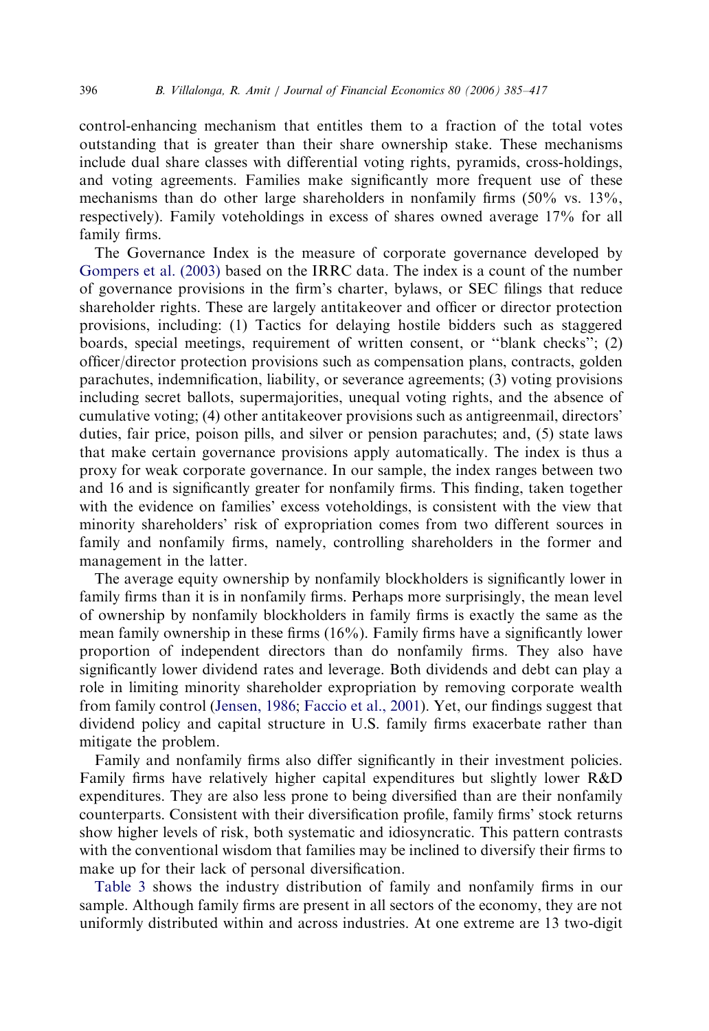control-enhancing mechanism that entitles them to a fraction of the total votes outstanding that is greater than their share ownership stake. These mechanisms include dual share classes with differential voting rights, pyramids, cross-holdings, and voting agreements. Families make significantly more frequent use of these mechanisms than do other large shareholders in nonfamily firms (50% vs. 13%, respectively). Family voteholdings in excess of shares owned average 17% for all family firms.

The Governance Index is the measure of corporate governance developed by [Gompers et al. \(2003\)](#page-31-0) based on the IRRC data. The index is a count of the number of governance provisions in the firm's charter, bylaws, or SEC filings that reduce shareholder rights. These are largely antitakeover and officer or director protection provisions, including: (1) Tactics for delaying hostile bidders such as staggered boards, special meetings, requirement of written consent, or ''blank checks''; (2) officer/director protection provisions such as compensation plans, contracts, golden parachutes, indemnification, liability, or severance agreements; (3) voting provisions including secret ballots, supermajorities, unequal voting rights, and the absence of cumulative voting; (4) other antitakeover provisions such as antigreenmail, directors' duties, fair price, poison pills, and silver or pension parachutes; and, (5) state laws that make certain governance provisions apply automatically. The index is thus a proxy for weak corporate governance. In our sample, the index ranges between two and 16 and is significantly greater for nonfamily firms. This finding, taken together with the evidence on families' excess voteholdings, is consistent with the view that minority shareholders' risk of expropriation comes from two different sources in family and nonfamily firms, namely, controlling shareholders in the former and management in the latter.

The average equity ownership by nonfamily blockholders is significantly lower in family firms than it is in nonfamily firms. Perhaps more surprisingly, the mean level of ownership by nonfamily blockholders in family firms is exactly the same as the mean family ownership in these firms (16%). Family firms have a significantly lower proportion of independent directors than do nonfamily firms. They also have significantly lower dividend rates and leverage. Both dividends and debt can play a role in limiting minority shareholder expropriation by removing corporate wealth from family control [\(Jensen, 1986](#page-31-0); [Faccio et al., 2001\)](#page-31-0). Yet, our findings suggest that dividend policy and capital structure in U.S. family firms exacerbate rather than mitigate the problem.

Family and nonfamily firms also differ significantly in their investment policies. Family firms have relatively higher capital expenditures but slightly lower R&D expenditures. They are also less prone to being diversified than are their nonfamily counterparts. Consistent with their diversification profile, family firms' stock returns show higher levels of risk, both systematic and idiosyncratic. This pattern contrasts with the conventional wisdom that families may be inclined to diversify their firms to make up for their lack of personal diversification.

[Table 3](#page-13-0) shows the industry distribution of family and nonfamily firms in our sample. Although family firms are present in all sectors of the economy, they are not uniformly distributed within and across industries. At one extreme are 13 two-digit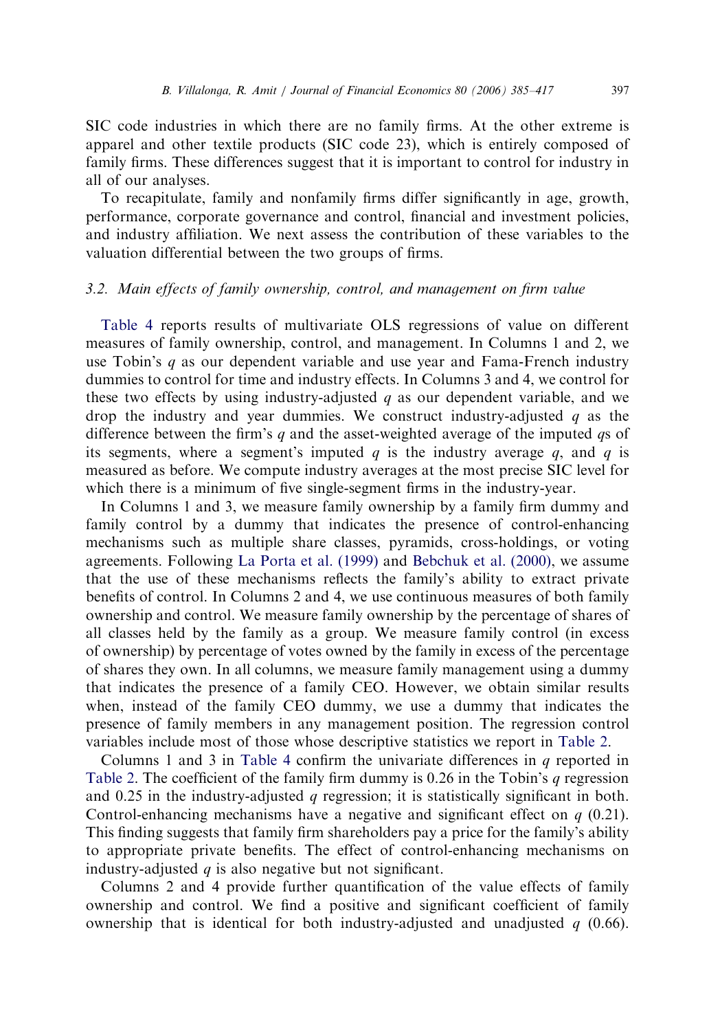SIC code industries in which there are no family firms. At the other extreme is apparel and other textile products (SIC code 23), which is entirely composed of family firms. These differences suggest that it is important to control for industry in all of our analyses.

To recapitulate, family and nonfamily firms differ significantly in age, growth, performance, corporate governance and control, financial and investment policies, and industry affiliation. We next assess the contribution of these variables to the valuation differential between the two groups of firms.

## 3.2. Main effects of family ownership, control, and management on firm value

[Table 4](#page-15-0) reports results of multivariate OLS regressions of value on different measures of family ownership, control, and management. In Columns 1 and 2, we use Tobin's  $q$  as our dependent variable and use year and Fama-French industry dummies to control for time and industry effects. In Columns 3 and 4, we control for these two effects by using industry-adjusted  $q$  as our dependent variable, and we drop the industry and year dummies. We construct industry-adjusted  $q$  as the difference between the firm's q and the asset-weighted average of the imputed qs of its segments, where a segment's imputed q is the industry average q, and q is measured as before. We compute industry averages at the most precise SIC level for which there is a minimum of five single-segment firms in the industry-year.

In Columns 1 and 3, we measure family ownership by a family firm dummy and family control by a dummy that indicates the presence of control-enhancing mechanisms such as multiple share classes, pyramids, cross-holdings, or voting agreements. Following [La Porta et al. \(1999\)](#page-31-0) and [Bebchuk et al. \(2000\),](#page-31-0) we assume that the use of these mechanisms reflects the family's ability to extract private benefits of control. In Columns 2 and 4, we use continuous measures of both family ownership and control. We measure family ownership by the percentage of shares of all classes held by the family as a group. We measure family control (in excess of ownership) by percentage of votes owned by the family in excess of the percentage of shares they own. In all columns, we measure family management using a dummy that indicates the presence of a family CEO. However, we obtain similar results when, instead of the family CEO dummy, we use a dummy that indicates the presence of family members in any management position. The regression control variables include most of those whose descriptive statistics we report in [Table 2](#page-10-0).

Columns 1 and 3 in [Table 4](#page-15-0) confirm the univariate differences in  $q$  reported in [Table 2.](#page-10-0) The coefficient of the family firm dummy is 0.26 in the Tobin's q regression and 0.25 in the industry-adjusted  $q$  regression; it is statistically significant in both. Control-enhancing mechanisms have a negative and significant effect on  $q$  (0.21). This finding suggests that family firm shareholders pay a price for the family's ability to appropriate private benefits. The effect of control-enhancing mechanisms on industry-adjusted  $q$  is also negative but not significant.

Columns 2 and 4 provide further quantification of the value effects of family ownership and control. We find a positive and significant coefficient of family ownership that is identical for both industry-adjusted and unadjusted  $q$  (0.66).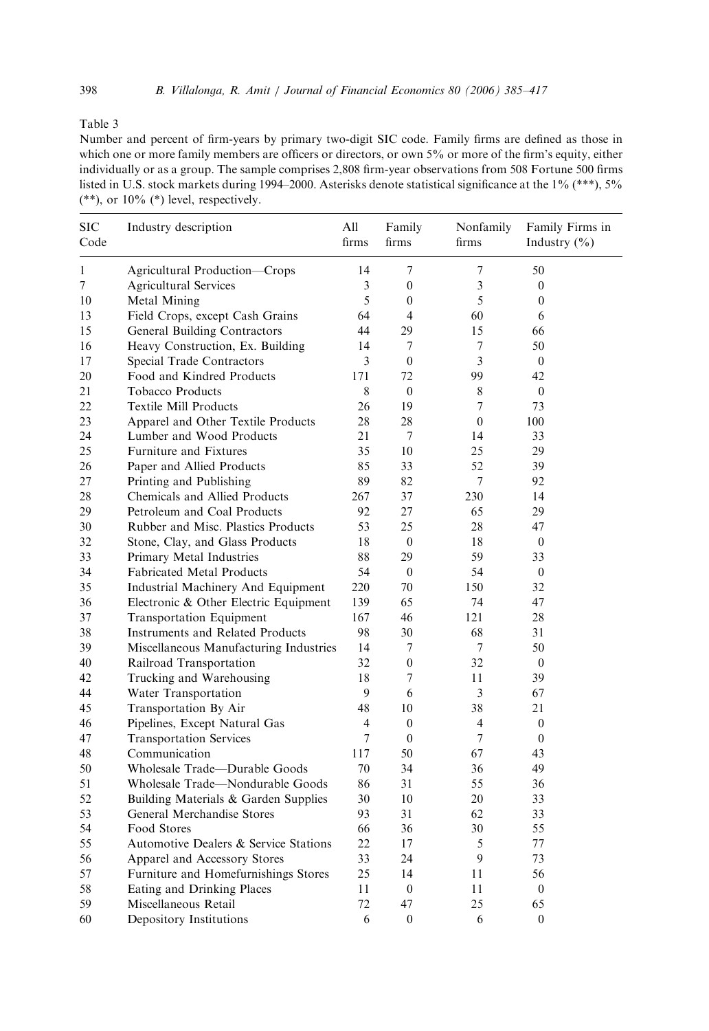Table 3

Number and percent of firm-years by primary two-digit SIC code. Family firms are defined as those in which one or more family members are officers or directors, or own 5% or more of the firm's equity, either individually or as a group. The sample comprises 2,808 firm-year observations from 508 Fortune 500 firms listed in U.S. stock markets during 1994–2000. Asterisks denote statistical significance at the 1% (\*\*\*), 5%  $(**)$ , or  $10\%$   $(*)$  level, respectively.

| <b>SIC</b><br>Code | Industry description                    | All<br>firms   | Family<br>firms | Nonfamily<br>firms | Family Firms in<br>Industry $(\% )$ |
|--------------------|-----------------------------------------|----------------|-----------------|--------------------|-------------------------------------|
| $\mathbf{1}$       | Agricultural Production-Crops           | 14             | $\tau$          | 7                  | 50                                  |
| $\overline{7}$     | <b>Agricultural Services</b>            | 3              | $\overline{0}$  | 3                  | $\mathbf{0}$                        |
| 10                 | Metal Mining                            | 5              | $\overline{0}$  | 5                  | $\mathbf{0}$                        |
| 13                 | Field Crops, except Cash Grains         | 64             | $\overline{4}$  | 60                 | 6                                   |
| 15                 | General Building Contractors            | 44             | 29              | 15                 | 66                                  |
| 16                 | Heavy Construction, Ex. Building        | 14             | 7               | 7                  | 50                                  |
| 17                 | Special Trade Contractors               | 3              | $\mathbf{0}$    | 3                  | $\mathbf{0}$                        |
| 20                 | Food and Kindred Products               | 171            | 72              | 99                 | 42                                  |
| 21                 | <b>Tobacco Products</b>                 | 8              | $\mathbf{0}$    | 8                  | $\mathbf{0}$                        |
| 22                 | Textile Mill Products                   | 26             | 19              | 7                  | 73                                  |
| 23                 | Apparel and Other Textile Products      | 28             | 28              | $\mathbf{0}$       | 100                                 |
| 24                 | Lumber and Wood Products                | 21             | $\tau$          | 14                 | 33                                  |
| 25                 | Furniture and Fixtures                  | 35             | 10              | 25                 | 29                                  |
| 26                 | Paper and Allied Products               | 85             | 33              | 52                 | 39                                  |
| 27                 | Printing and Publishing                 | 89             | 82              | 7                  | 92                                  |
| 28                 | Chemicals and Allied Products           | 267            | 37              | 230                | 14                                  |
| 29                 | Petroleum and Coal Products             | 92             | 27              | 65                 | 29                                  |
| 30                 | Rubber and Misc. Plastics Products      | 53             | 25              | 28                 | 47                                  |
| 32                 | Stone, Clay, and Glass Products         | 18             | $\mathbf{0}$    | 18                 | $\mathbf{0}$                        |
| 33                 | Primary Metal Industries                | 88             | 29              | 59                 | 33                                  |
| 34                 | <b>Fabricated Metal Products</b>        | 54             | $\mathbf{0}$    | 54                 | $\mathbf{0}$                        |
| 35                 | Industrial Machinery And Equipment      | 220            | 70              | 150                | 32                                  |
| 36                 | Electronic & Other Electric Equipment   | 139            | 65              | 74                 | 47                                  |
| 37                 | <b>Transportation Equipment</b>         | 167            | 46              | 121                | 28                                  |
| 38                 | <b>Instruments and Related Products</b> | 98             | 30              | 68                 | 31                                  |
| 39                 | Miscellaneous Manufacturing Industries  | 14             | $\tau$          | 7                  | 50                                  |
| 40                 | Railroad Transportation                 | 32             | $\theta$        | 32                 | $\mathbf{0}$                        |
| 42                 | Trucking and Warehousing                | 18             | 7               | 11                 | 39                                  |
| 44                 | Water Transportation                    | 9              | 6               | 3                  | 67                                  |
| 45                 | Transportation By Air                   | 48             | 10              | 38                 | 21                                  |
| 46                 | Pipelines, Except Natural Gas           | $\overline{4}$ | $\mathbf{0}$    | 4                  | $\boldsymbol{0}$                    |
| 47                 | <b>Transportation Services</b>          | 7              | $\mathbf{0}$    | 7                  | $\mathbf{0}$                        |
| 48                 | Communication                           | 117            | 50              | 67                 | 43                                  |
| 50                 | Wholesale Trade-Durable Goods           | 70             | 34              | 36                 | 49                                  |
| 51                 | Wholesale Trade-Nondurable Goods        | 86             | 31              | 55                 | 36                                  |
| 52                 | Building Materials & Garden Supplies    | 30             | 10              | 20                 | 33                                  |
| 53                 | General Merchandise Stores              | 93             | 31              | 62                 | 33                                  |
| 54                 | Food Stores                             | 66             | 36              | 30                 | 55                                  |
| 55                 | Automotive Dealers & Service Stations   | 22             | 17              | 5                  | 77                                  |
| 56                 | Apparel and Accessory Stores            | 33             | 24              | 9                  | 73                                  |
| 57                 | Furniture and Homefurnishings Stores    | 25             | 14              | 11                 | 56                                  |
| 58                 | Eating and Drinking Places              | 11             | $\mathbf{0}$    | 11                 | $\mathbf{0}$                        |
| 59                 | Miscellaneous Retail                    | 72             | 47              | 25                 | 65                                  |
| 60                 | Depository Institutions                 | 6              | $\theta$        | 6                  | $\theta$                            |

<span id="page-13-0"></span>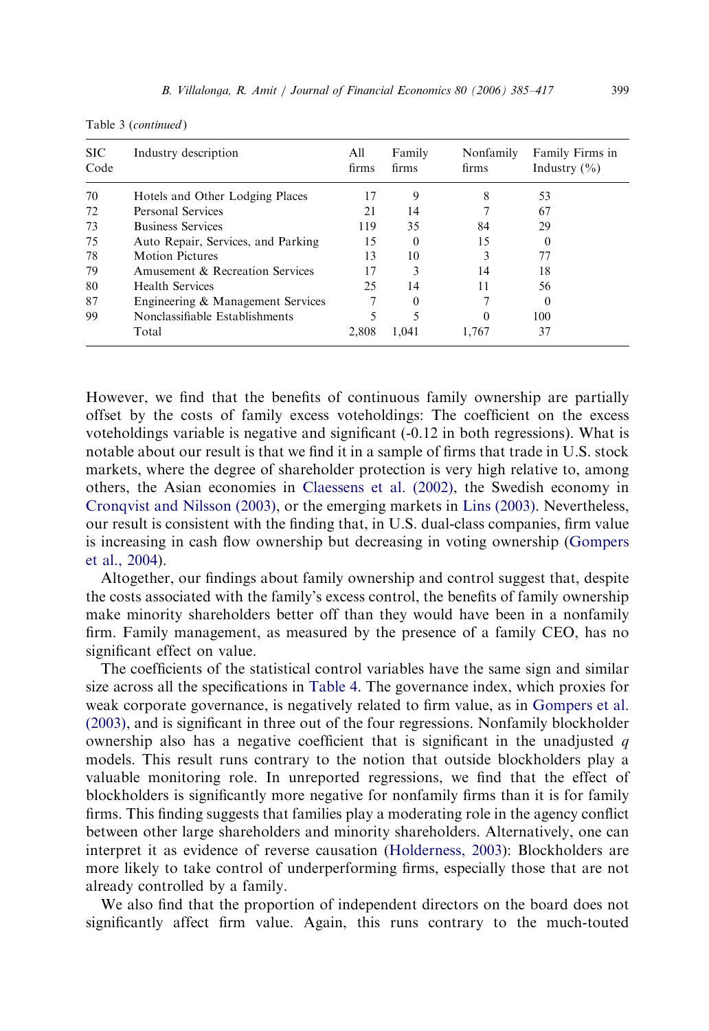| <b>SIC</b><br>Code | Industry description               | All<br>firms | Family<br>firms | Nonfamily<br>firms | Family Firms in<br>Industry $(\% )$ |
|--------------------|------------------------------------|--------------|-----------------|--------------------|-------------------------------------|
| 70                 | Hotels and Other Lodging Places    | 17           | 9               | 8                  | 53                                  |
| 72                 | Personal Services                  | 21           | 14              |                    | 67                                  |
| 73                 | <b>Business Services</b>           | 119          | 35              | 84                 | 29                                  |
| 75                 | Auto Repair, Services, and Parking | 15           | $\Omega$        | 15                 |                                     |
| 78                 | <b>Motion Pictures</b>             | 13           | 10              |                    | 77                                  |
| 79                 | Amusement & Recreation Services    | 17           | 3               | 14                 | 18                                  |
| 80                 | Health Services                    | 25           | 14              |                    | 56                                  |
| 87                 | Engineering & Management Services  |              |                 |                    |                                     |
| 99                 | Nonclassifiable Establishments     |              | 5               |                    | 100                                 |
|                    | Total                              | 2.808        | 1.041           | 1.767              | 37                                  |

Table 3 (continued )

However, we find that the benefits of continuous family ownership are partially offset by the costs of family excess voteholdings: The coefficient on the excess voteholdings variable is negative and significant (-0.12 in both regressions). What is notable about our result is that we find it in a sample of firms that trade in U.S. stock markets, where the degree of shareholder protection is very high relative to, among others, the Asian economies in [Claessens et al. \(2002\)](#page-31-0), the Swedish economy in [Cronqvist and Nilsson \(2003\)](#page-31-0), or the emerging markets in [Lins \(2003\)](#page-32-0). Nevertheless, our result is consistent with the finding that, in U.S. dual-class companies, firm value is increasing in cash flow ownership but decreasing in voting ownership ([Gompers](#page-31-0) [et al., 2004](#page-31-0)).

Altogether, our findings about family ownership and control suggest that, despite the costs associated with the family's excess control, the benefits of family ownership make minority shareholders better off than they would have been in a nonfamily firm. Family management, as measured by the presence of a family CEO, has no significant effect on value.

The coefficients of the statistical control variables have the same sign and similar size across all the specifications in [Table 4](#page-15-0). The governance index, which proxies for weak corporate governance, is negatively related to firm value, as in [Gompers et al.](#page-31-0) [\(2003\)](#page-31-0), and is significant in three out of the four regressions. Nonfamily blockholder ownership also has a negative coefficient that is significant in the unadjusted  $q$ models. This result runs contrary to the notion that outside blockholders play a valuable monitoring role. In unreported regressions, we find that the effect of blockholders is significantly more negative for nonfamily firms than it is for family firms. This finding suggests that families play a moderating role in the agency conflict between other large shareholders and minority shareholders. Alternatively, one can interpret it as evidence of reverse causation ([Holderness, 2003\)](#page-31-0): Blockholders are more likely to take control of underperforming firms, especially those that are not already controlled by a family.

We also find that the proportion of independent directors on the board does not significantly affect firm value. Again, this runs contrary to the much-touted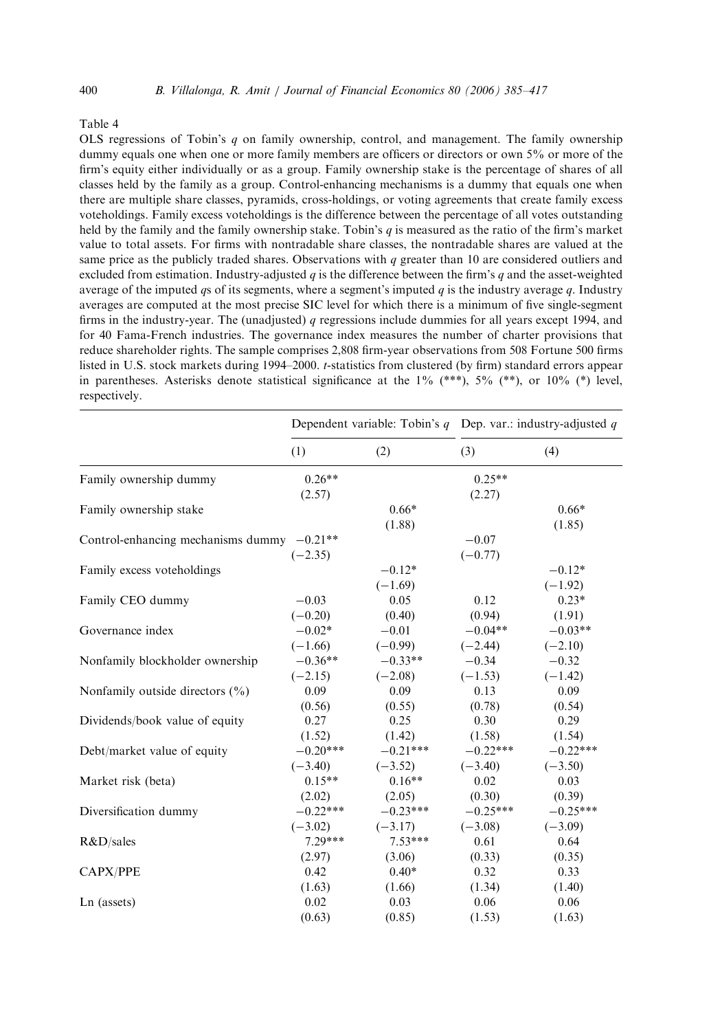<span id="page-15-0"></span>OLS regressions of Tobin's  $q$  on family ownership, control, and management. The family ownership dummy equals one when one or more family members are officers or directors or own 5% or more of the firm's equity either individually or as a group. Family ownership stake is the percentage of shares of all classes held by the family as a group. Control-enhancing mechanisms is a dummy that equals one when there are multiple share classes, pyramids, cross-holdings, or voting agreements that create family excess voteholdings. Family excess voteholdings is the difference between the percentage of all votes outstanding held by the family and the family ownership stake. Tobin's q is measured as the ratio of the firm's market value to total assets. For firms with nontradable share classes, the nontradable shares are valued at the same price as the publicly traded shares. Observations with q greater than 10 are considered outliers and excluded from estimation. Industry-adjusted q is the difference between the firm's q and the asset-weighted average of the imputed  $q_s$  of its segments, where a segment's imputed  $q$  is the industry average  $q$ . Industry averages are computed at the most precise SIC level for which there is a minimum of five single-segment firms in the industry-year. The (unadjusted) q regressions include dummies for all years except 1994, and for 40 Fama-French industries. The governance index measures the number of charter provisions that reduce shareholder rights. The sample comprises 2,808 firm-year observations from 508 Fortune 500 firms listed in U.S. stock markets during 1994–2000. t-statistics from clustered (by firm) standard errors appear in parentheses. Asterisks denote statistical significance at the  $1\%$  (\*\*\*),  $5\%$  (\*\*), or  $10\%$  (\*) level, respectively.

|                                               |            | Dependent variable: Tobin's $q$ Dep. var.: industry-adjusted $q$ |            |            |
|-----------------------------------------------|------------|------------------------------------------------------------------|------------|------------|
|                                               | (1)        | (2)                                                              | (3)        | (4)        |
| Family ownership dummy                        | $0.26**$   |                                                                  | $0.25**$   |            |
|                                               | (2.57)     |                                                                  | (2.27)     |            |
| Family ownership stake                        |            | $0.66*$                                                          |            | $0.66*$    |
|                                               |            | (1.88)                                                           |            | (1.85)     |
| Control-enhancing mechanisms dummy $-0.21***$ |            |                                                                  | $-0.07$    |            |
|                                               | $(-2.35)$  |                                                                  | $(-0.77)$  |            |
| Family excess voteholdings                    |            | $-0.12*$                                                         |            | $-0.12*$   |
|                                               |            | $(-1.69)$                                                        |            | $(-1.92)$  |
| Family CEO dummy                              | $-0.03$    | 0.05                                                             | 0.12       | $0.23*$    |
|                                               | $(-0.20)$  | (0.40)                                                           | (0.94)     | (1.91)     |
| Governance index                              | $-0.02*$   | $-0.01$                                                          | $-0.04**$  | $-0.03**$  |
|                                               | $(-1.66)$  | $(-0.99)$                                                        | $(-2.44)$  | $(-2.10)$  |
| Nonfamily blockholder ownership               | $-0.36**$  | $-0.33**$                                                        | $-0.34$    | $-0.32$    |
|                                               | $(-2.15)$  | $(-2.08)$                                                        | $(-1.53)$  | $(-1.42)$  |
| Nonfamily outside directors $(\% )$           | 0.09       | 0.09                                                             | 0.13       | 0.09       |
|                                               | (0.56)     | (0.55)                                                           | (0.78)     | (0.54)     |
| Dividends/book value of equity                | 0.27       | 0.25                                                             | 0.30       | 0.29       |
|                                               | (1.52)     | (1.42)                                                           | (1.58)     | (1.54)     |
| Debt/market value of equity                   | $-0.20***$ | $-0.21***$                                                       | $-0.22***$ | $-0.22***$ |
|                                               | $(-3.40)$  | $(-3.52)$                                                        | $(-3.40)$  | $(-3.50)$  |
| Market risk (beta)                            | $0.15**$   | $0.16**$                                                         | 0.02       | 0.03       |
|                                               | (2.02)     | (2.05)                                                           | (0.30)     | (0.39)     |
| Diversification dummy                         | $-0.22***$ | $-0.23***$                                                       | $-0.25***$ | $-0.25***$ |
|                                               | $(-3.02)$  | $(-3.17)$                                                        | $(-3.08)$  | $(-3.09)$  |
| R&D/sales                                     | $7.29***$  | $7.53***$                                                        | 0.61       | 0.64       |
|                                               | (2.97)     | (3.06)                                                           | (0.33)     | (0.35)     |
| CAPX/PPE                                      | 0.42       | $0.40*$                                                          | 0.32       | 0.33       |
|                                               | (1.63)     | (1.66)                                                           | (1.34)     | (1.40)     |
| Ln (assets)                                   | 0.02       | 0.03                                                             | 0.06       | 0.06       |
|                                               | (0.63)     | (0.85)                                                           | (1.53)     | (1.63)     |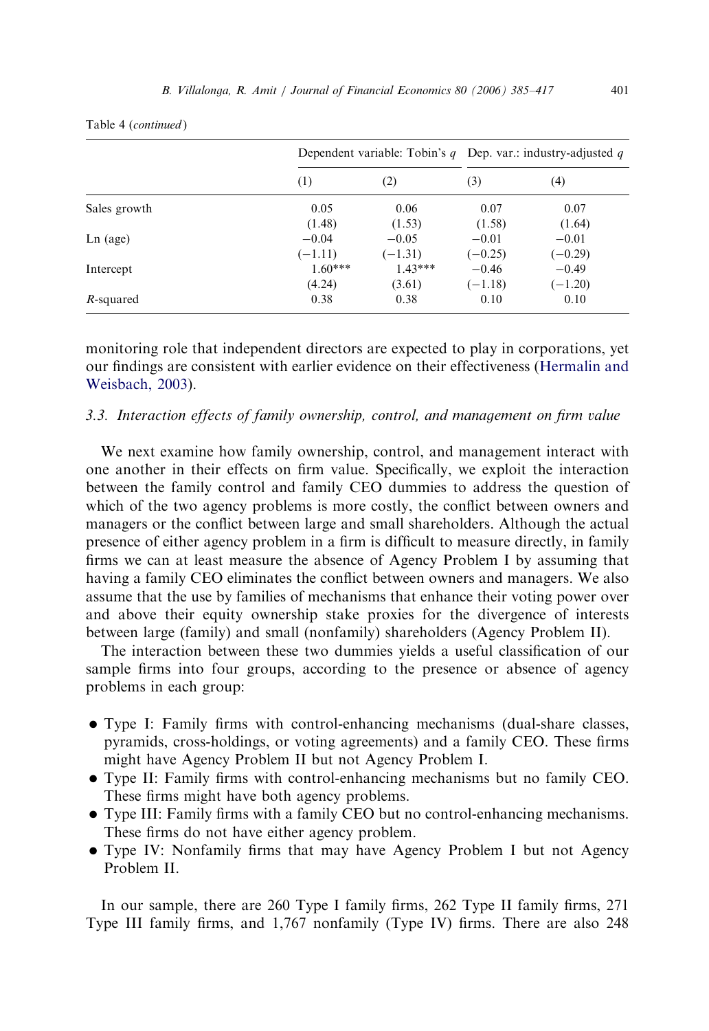|              |           |           | Dependent variable: Tobin's $q$ Dep. var.: industry-adjusted $q$ |           |
|--------------|-----------|-----------|------------------------------------------------------------------|-----------|
|              | (1)       | (2)       | (3)                                                              | (4)       |
| Sales growth | 0.05      | 0.06      | 0.07                                                             | 0.07      |
|              | (1.48)    | (1.53)    | (1.58)                                                           | (1.64)    |
| $Ln$ (age)   | $-0.04$   | $-0.05$   | $-0.01$                                                          | $-0.01$   |
| Intercept    | $(-1.11)$ | $(-1.31)$ | $(-0.25)$                                                        | $(-0.29)$ |
|              | $1.60***$ | $1.43***$ | $-0.46$                                                          | $-0.49$   |
| R-squared    | (4.24)    | (3.61)    | $(-1.18)$                                                        | $(-1.20)$ |
|              | 0.38      | 0.38      | 0.10                                                             | 0.10      |

Table 4 (continued )

monitoring role that independent directors are expected to play in corporations, yet our findings are consistent with earlier evidence on their effectiveness [\(Hermalin and](#page-31-0) [Weisbach, 2003\)](#page-31-0).

## 3.3. Interaction effects of family ownership, control, and management on firm value

We next examine how family ownership, control, and management interact with one another in their effects on firm value. Specifically, we exploit the interaction between the family control and family CEO dummies to address the question of which of the two agency problems is more costly, the conflict between owners and managers or the conflict between large and small shareholders. Although the actual presence of either agency problem in a firm is difficult to measure directly, in family firms we can at least measure the absence of Agency Problem I by assuming that having a family CEO eliminates the conflict between owners and managers. We also assume that the use by families of mechanisms that enhance their voting power over and above their equity ownership stake proxies for the divergence of interests between large (family) and small (nonfamily) shareholders (Agency Problem II).

The interaction between these two dummies yields a useful classification of our sample firms into four groups, according to the presence or absence of agency problems in each group:

- Type I: Family firms with control-enhancing mechanisms (dual-share classes, pyramids, cross-holdings, or voting agreements) and a family CEO. These firms might have Agency Problem II but not Agency Problem I.
- Type II: Family firms with control-enhancing mechanisms but no family CEO. These firms might have both agency problems.
- Type III: Family firms with a family CEO but no control-enhancing mechanisms. These firms do not have either agency problem.
- Type IV: Nonfamily firms that may have Agency Problem I but not Agency Problem II.

In our sample, there are 260 Type I family firms, 262 Type II family firms, 271 Type III family firms, and 1,767 nonfamily (Type IV) firms. There are also 248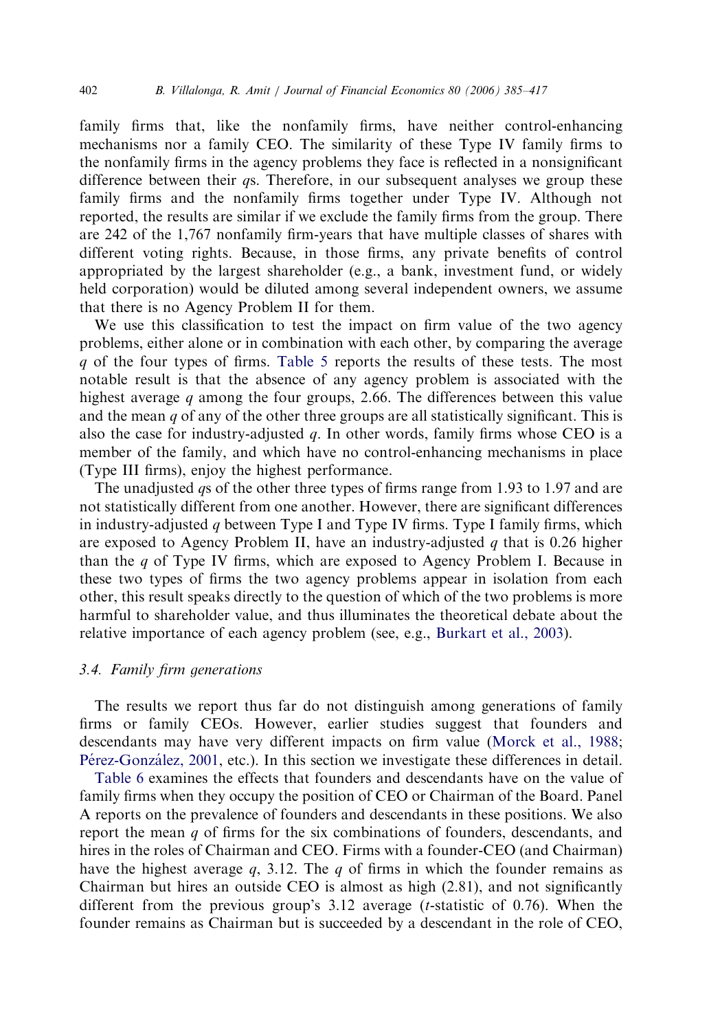family firms that, like the nonfamily firms, have neither control-enhancing mechanisms nor a family CEO. The similarity of these Type IV family firms to the nonfamily firms in the agency problems they face is reflected in a nonsignificant difference between their *qs*. Therefore, in our subsequent analyses we group these family firms and the nonfamily firms together under Type IV. Although not reported, the results are similar if we exclude the family firms from the group. There are 242 of the 1,767 nonfamily firm-years that have multiple classes of shares with different voting rights. Because, in those firms, any private benefits of control appropriated by the largest shareholder (e.g., a bank, investment fund, or widely held corporation) would be diluted among several independent owners, we assume that there is no Agency Problem II for them.

We use this classification to test the impact on firm value of the two agency problems, either alone or in combination with each other, by comparing the average q of the four types of firms. [Table 5](#page-18-0) reports the results of these tests. The most notable result is that the absence of any agency problem is associated with the highest average  $q$  among the four groups, 2.66. The differences between this value and the mean  $q$  of any of the other three groups are all statistically significant. This is also the case for industry-adjusted  $q$ . In other words, family firms whose CEO is a member of the family, and which have no control-enhancing mechanisms in place (Type III firms), enjoy the highest performance.

The unadjusted  $q_s$  of the other three types of firms range from 1.93 to 1.97 and are not statistically different from one another. However, there are significant differences in industry-adjusted  $q$  between Type I and Type IV firms. Type I family firms, which are exposed to Agency Problem II, have an industry-adjusted  $q$  that is 0.26 higher than the q of Type IV firms, which are exposed to Agency Problem I. Because in these two types of firms the two agency problems appear in isolation from each other, this result speaks directly to the question of which of the two problems is more harmful to shareholder value, and thus illuminates the theoretical debate about the relative importance of each agency problem (see, e.g., [Burkart et al., 2003](#page-31-0)).

## 3.4. Family firm generations

The results we report thus far do not distinguish among generations of family firms or family CEOs. However, earlier studies suggest that founders and descendants may have very different impacts on firm value ([Morck et al., 1988](#page-32-0); Pérez-González, 2001, etc.). In this section we investigate these differences in detail.

[Table 6](#page-19-0) examines the effects that founders and descendants have on the value of family firms when they occupy the position of CEO or Chairman of the Board. Panel A reports on the prevalence of founders and descendants in these positions. We also report the mean q of firms for the six combinations of founders, descendants, and hires in the roles of Chairman and CEO. Firms with a founder-CEO (and Chairman) have the highest average  $q$ , 3.12. The  $q$  of firms in which the founder remains as Chairman but hires an outside CEO is almost as high (2.81), and not significantly different from the previous group's  $3.12$  average (*t*-statistic of 0.76). When the founder remains as Chairman but is succeeded by a descendant in the role of CEO,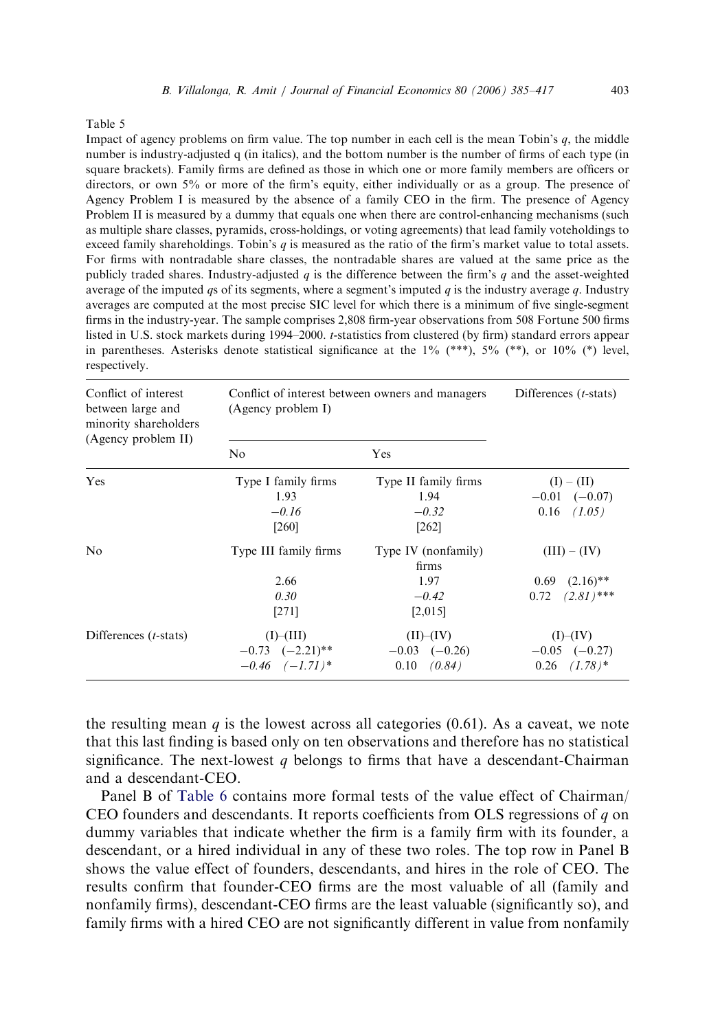<span id="page-18-0"></span>Impact of agency problems on firm value. The top number in each cell is the mean Tobin's q, the middle number is industry-adjusted q (in italics), and the bottom number is the number of firms of each type (in square brackets). Family firms are defined as those in which one or more family members are officers or directors, or own 5% or more of the firm's equity, either individually or as a group. The presence of Agency Problem I is measured by the absence of a family CEO in the firm. The presence of Agency Problem II is measured by a dummy that equals one when there are control-enhancing mechanisms (such as multiple share classes, pyramids, cross-holdings, or voting agreements) that lead family voteholdings to exceed family shareholdings. Tobin's q is measured as the ratio of the firm's market value to total assets. For firms with nontradable share classes, the nontradable shares are valued at the same price as the publicly traded shares. Industry-adjusted  $q$  is the difference between the firm's  $q$  and the asset-weighted average of the imputed  $q_s$  of its segments, where a segment's imputed  $q$  is the industry average  $q$ . Industry averages are computed at the most precise SIC level for which there is a minimum of five single-segment firms in the industry-year. The sample comprises 2,808 firm-year observations from 508 Fortune 500 firms listed in U.S. stock markets during 1994–2000. t-statistics from clustered (by firm) standard errors appear in parentheses. Asterisks denote statistical significance at the  $1\%$  (\*\*\*),  $5\%$  (\*\*), or  $10\%$  (\*) level, respectively.

| Conflict of interest<br>between large and<br>minority shareholders<br>(Agency problem II) | Conflict of interest between owners and managers<br>(Agency problem I)    | Differences $(t\text{-stats})$                          |                                                          |  |
|-------------------------------------------------------------------------------------------|---------------------------------------------------------------------------|---------------------------------------------------------|----------------------------------------------------------|--|
|                                                                                           | N <sub>0</sub>                                                            | Yes                                                     |                                                          |  |
| Yes                                                                                       | Type I family firms<br>1.93<br>$-0.16$<br>[260]                           | Type II family firms<br>1.94<br>$-0.32$<br>[262]        | $(I) - (II)$<br>$-0.01$ $(-0.07)$<br>$0.16$ $(1.05)$     |  |
| No                                                                                        | Type III family firms<br>2.66                                             | Type IV (nonfamily)<br>firms<br>1.97                    | $(III) - (IV)$<br>$0.69$ $(2.16)$ <sup>**</sup>          |  |
|                                                                                           | 0.30<br>$[271]$                                                           | $-0.42$<br>[2,015]                                      | $0.72$ $(2.81)$ ***                                      |  |
| Differences $(t\text{-stats})$                                                            | $(I)$ – $(III)$<br>$-0.73$ $(-2.21)$ <sup>**</sup><br>$-0.46$ $(-1.71)^*$ | $(II)$ – $(IV)$<br>$-0.03$ $(-0.26)$<br>$0.10$ $(0.84)$ | $(I)$ – $(IV)$<br>$-0.05$ $(-0.27)$<br>$0.26$ $(1.78)^*$ |  |

the resulting mean  $q$  is the lowest across all categories (0.61). As a caveat, we note that this last finding is based only on ten observations and therefore has no statistical significance. The next-lowest q belongs to firms that have a descendant-Chairman and a descendant-CEO.

Panel B of [Table 6](#page-19-0) contains more formal tests of the value effect of Chairman/ CEO founders and descendants. It reports coefficients from OLS regressions of  $q$  on dummy variables that indicate whether the firm is a family firm with its founder, a descendant, or a hired individual in any of these two roles. The top row in Panel B shows the value effect of founders, descendants, and hires in the role of CEO. The results confirm that founder-CEO firms are the most valuable of all (family and nonfamily firms), descendant-CEO firms are the least valuable (significantly so), and family firms with a hired CEO are not significantly different in value from nonfamily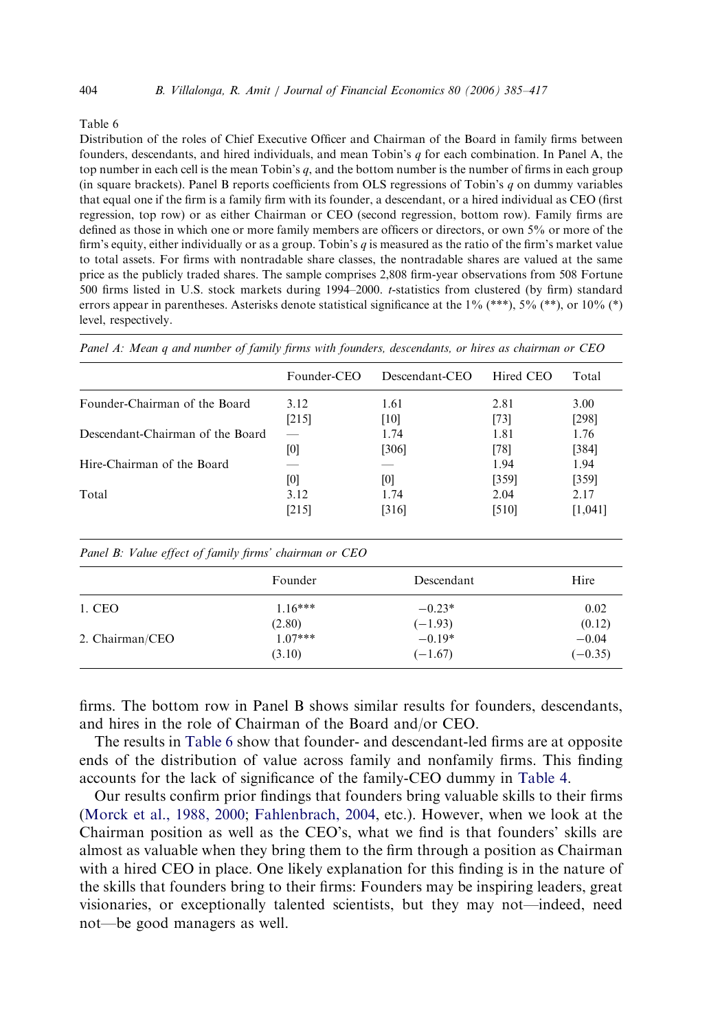<span id="page-19-0"></span>Distribution of the roles of Chief Executive Officer and Chairman of the Board in family firms between founders, descendants, and hired individuals, and mean Tobin's  $q$  for each combination. In Panel A, the top number in each cell is the mean Tobin's  $q$ , and the bottom number is the number of firms in each group (in square brackets). Panel B reports coefficients from OLS regressions of Tobin's  $q$  on dummy variables that equal one if the firm is a family firm with its founder, a descendant, or a hired individual as CEO (first regression, top row) or as either Chairman or CEO (second regression, bottom row). Family firms are defined as those in which one or more family members are officers or directors, or own 5% or more of the firm's equity, either individually or as a group. Tobin's q is measured as the ratio of the firm's market value to total assets. For firms with nontradable share classes, the nontradable shares are valued at the same price as the publicly traded shares. The sample comprises 2,808 firm-year observations from 508 Fortune 500 firms listed in U.S. stock markets during 1994–2000. t-statistics from clustered (by firm) standard errors appear in parentheses. Asterisks denote statistical significance at the  $1\%$  (\*\*\*),  $5\%$  (\*\*), or  $10\%$  (\*) level, respectively.

| Founder-CEO | Descendant-CEO | Hired CEO | Total   |
|-------------|----------------|-----------|---------|
| 3.12        | 1.61           | 2.81      | 3.00    |
| [215]       | $[10]$         | $[73]$    | [298]   |
|             | 1.74           | 1.81      | 1.76    |
| [0]         | [306]          | $[78]$    | $[384]$ |
|             |                | 1.94      | 1.94    |
| [0]         | [0]            | $[359]$   | $[359]$ |
| 3.12        | 1.74           | 2.04      | 2.17    |
| [215]       | [316]          | $[510]$   | [1,041] |
|             |                |           |         |

Panel A: Mean q and number of family firms with founders, descendants, or hires as chairman or CEO

|                 | Founder   | Descendant | Hire      |  |
|-----------------|-----------|------------|-----------|--|
| 1. CEO          | $1.16***$ | $-0.23*$   | 0.02      |  |
|                 | (2.80)    | $(-1.93)$  | (0.12)    |  |
| 2. Chairman/CEO | $1.07***$ | $-0.19*$   | $-0.04$   |  |
|                 | (3.10)    | $(-1.67)$  | $(-0.35)$ |  |

Panel B: Value effect of family firms' chairman or CEO

firms. The bottom row in Panel B shows similar results for founders, descendants, and hires in the role of Chairman of the Board and/or CEO.

The results in Table 6 show that founder- and descendant-led firms are at opposite ends of the distribution of value across family and nonfamily firms. This finding accounts for the lack of significance of the family-CEO dummy in [Table 4.](#page-15-0)

Our results confirm prior findings that founders bring valuable skills to their firms ([Morck et al., 1988, 2000;](#page-32-0) [Fahlenbrach, 2004,](#page-31-0) etc.). However, when we look at the Chairman position as well as the CEO's, what we find is that founders' skills are almost as valuable when they bring them to the firm through a position as Chairman with a hired CEO in place. One likely explanation for this finding is in the nature of the skills that founders bring to their firms: Founders may be inspiring leaders, great visionaries, or exceptionally talented scientists, but they may not—indeed, need not—be good managers as well.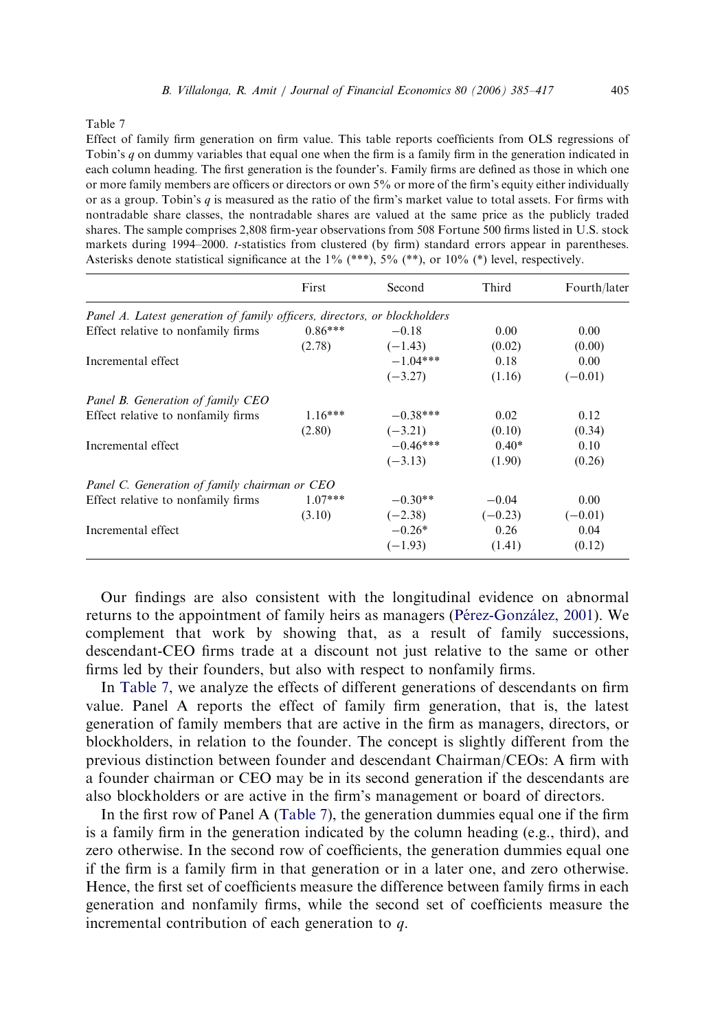<span id="page-20-0"></span>Effect of family firm generation on firm value. This table reports coefficients from OLS regressions of Tobin's q on dummy variables that equal one when the firm is a family firm in the generation indicated in each column heading. The first generation is the founder's. Family firms are defined as those in which one or more family members are officers or directors or own 5% or more of the firm's equity either individually or as a group. Tobin's q is measured as the ratio of the firm's market value to total assets. For firms with nontradable share classes, the nontradable shares are valued at the same price as the publicly traded shares. The sample comprises 2,808 firm-year observations from 508 Fortune 500 firms listed in U.S. stock markets during 1994–2000. t-statistics from clustered (by firm) standard errors appear in parentheses. Asterisks denote statistical significance at the  $1\%$  (\*\*\*),  $5\%$  (\*\*), or  $10\%$  (\*) level, respectively.

|                                                                           | First     | Second     | Third     | Fourth/later |
|---------------------------------------------------------------------------|-----------|------------|-----------|--------------|
| Panel A. Latest generation of family officers, directors, or blockholders |           |            |           |              |
| Effect relative to nonfamily firms                                        | $0.86***$ | $-0.18$    | 0.00      | 0.00         |
|                                                                           | (2.78)    | $(-1.43)$  | (0.02)    | (0.00)       |
| Incremental effect                                                        |           | $-1.04***$ | 0.18      | 0.00         |
|                                                                           |           | $(-3.27)$  | (1.16)    | $(-0.01)$    |
| Panel B. Generation of family CEO                                         |           |            |           |              |
| Effect relative to nonfamily firms                                        | $1.16***$ | $-0.38***$ | 0.02      | 0.12         |
|                                                                           | (2.80)    | $(-3.21)$  | (0.10)    | (0.34)       |
| Incremental effect                                                        |           | $-0.46***$ | $0.40*$   | 0.10         |
|                                                                           |           | $(-3.13)$  | (1.90)    | (0.26)       |
| Panel C. Generation of family chairman or CEO                             |           |            |           |              |
| Effect relative to nonfamily firms                                        | $1.07***$ | $-0.30**$  | $-0.04$   | 0.00         |
|                                                                           | (3.10)    | $(-2.38)$  | $(-0.23)$ | $(-0.01)$    |
| Incremental effect                                                        |           | $-0.26*$   | 0.26      | 0.04         |
|                                                                           |           | $(-1.93)$  | (1.41)    | (0.12)       |

Our findings are also consistent with the longitudinal evidence on abnormal returns to the appointment of family heirs as managers (Pérez-González, 2001). We complement that work by showing that, as a result of family successions, descendant-CEO firms trade at a discount not just relative to the same or other firms led by their founders, but also with respect to nonfamily firms.

In Table 7, we analyze the effects of different generations of descendants on firm value. Panel A reports the effect of family firm generation, that is, the latest generation of family members that are active in the firm as managers, directors, or blockholders, in relation to the founder. The concept is slightly different from the previous distinction between founder and descendant Chairman/CEOs: A firm with a founder chairman or CEO may be in its second generation if the descendants are also blockholders or are active in the firm's management or board of directors.

In the first row of Panel A (Table 7), the generation dummies equal one if the firm is a family firm in the generation indicated by the column heading (e.g., third), and zero otherwise. In the second row of coefficients, the generation dummies equal one if the firm is a family firm in that generation or in a later one, and zero otherwise. Hence, the first set of coefficients measure the difference between family firms in each generation and nonfamily firms, while the second set of coefficients measure the incremental contribution of each generation to q.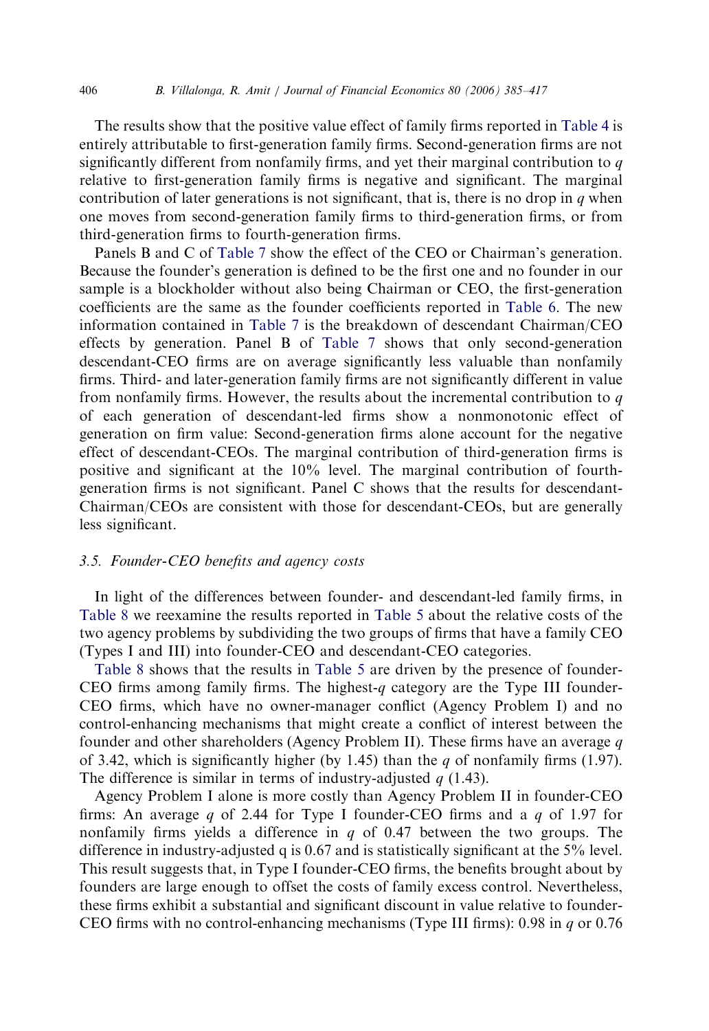The results show that the positive value effect of family firms reported in [Table 4](#page-15-0) is entirely attributable to first-generation family firms. Second-generation firms are not significantly different from nonfamily firms, and yet their marginal contribution to  $q$ relative to first-generation family firms is negative and significant. The marginal contribution of later generations is not significant, that is, there is no drop in  $q$  when one moves from second-generation family firms to third-generation firms, or from third-generation firms to fourth-generation firms.

Panels B and C of [Table 7](#page-20-0) show the effect of the CEO or Chairman's generation. Because the founder's generation is defined to be the first one and no founder in our sample is a blockholder without also being Chairman or CEO, the first-generation coefficients are the same as the founder coefficients reported in [Table 6.](#page-19-0) The new information contained in [Table 7](#page-20-0) is the breakdown of descendant Chairman/CEO effects by generation. Panel B of [Table 7](#page-20-0) shows that only second-generation descendant-CEO firms are on average significantly less valuable than nonfamily firms. Third- and later-generation family firms are not significantly different in value from nonfamily firms. However, the results about the incremental contribution to  $q$ of each generation of descendant-led firms show a nonmonotonic effect of generation on firm value: Second-generation firms alone account for the negative effect of descendant-CEOs. The marginal contribution of third-generation firms is positive and significant at the 10% level. The marginal contribution of fourthgeneration firms is not significant. Panel C shows that the results for descendant-Chairman/CEOs are consistent with those for descendant-CEOs, but are generally less significant.

## 3.5. Founder-CEO benefits and agency costs

In light of the differences between founder- and descendant-led family firms, in [Table 8](#page-22-0) we reexamine the results reported in [Table 5](#page-18-0) about the relative costs of the two agency problems by subdividing the two groups of firms that have a family CEO (Types I and III) into founder-CEO and descendant-CEO categories.

[Table 8](#page-22-0) shows that the results in [Table 5](#page-18-0) are driven by the presence of founder-CEO firms among family firms. The highest-q category are the Type III founder-CEO firms, which have no owner-manager conflict (Agency Problem I) and no control-enhancing mechanisms that might create a conflict of interest between the founder and other shareholders (Agency Problem II). These firms have an average  $q$ of 3.42, which is significantly higher (by 1.45) than the q of nonfamily firms (1.97). The difference is similar in terms of industry-adjusted  $q(1.43)$ .

Agency Problem I alone is more costly than Agency Problem II in founder-CEO firms: An average q of 2.44 for Type I founder-CEO firms and a q of 1.97 for nonfamily firms yields a difference in  $q$  of 0.47 between the two groups. The difference in industry-adjusted q is 0.67 and is statistically significant at the 5% level. This result suggests that, in Type I founder-CEO firms, the benefits brought about by founders are large enough to offset the costs of family excess control. Nevertheless, these firms exhibit a substantial and significant discount in value relative to founder-CEO firms with no control-enhancing mechanisms (Type III firms): 0.98 in  $q$  or 0.76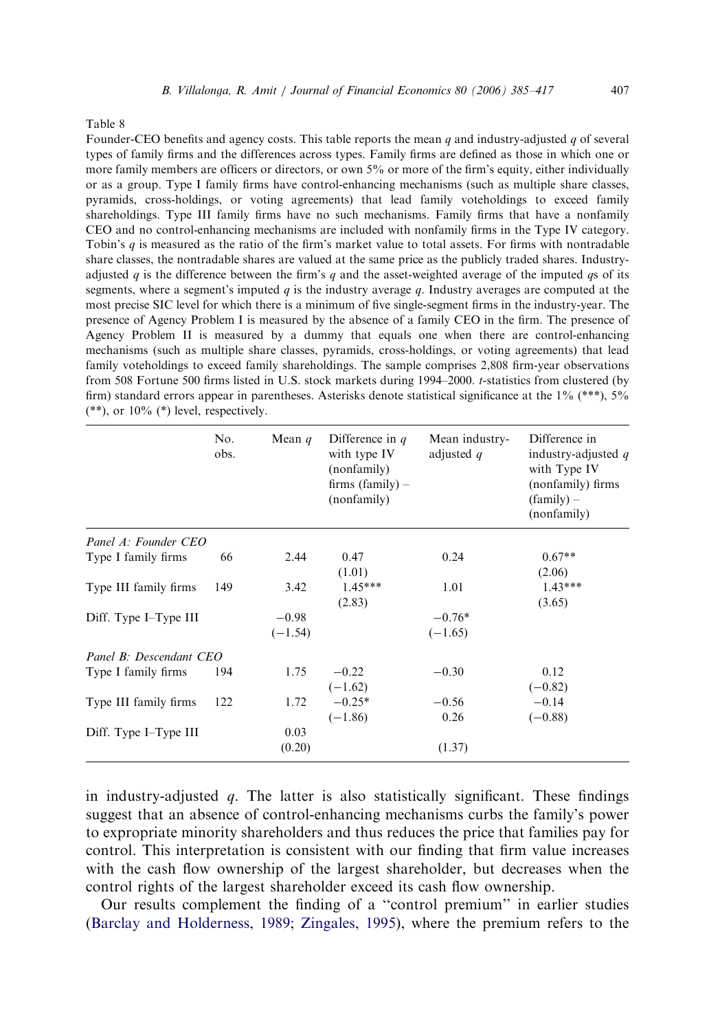<span id="page-22-0"></span>Founder-CEO benefits and agency costs. This table reports the mean q and industry-adjusted q of several types of family firms and the differences across types. Family firms are defined as those in which one or more family members are officers or directors, or own 5% or more of the firm's equity, either individually or as a group. Type I family firms have control-enhancing mechanisms (such as multiple share classes, pyramids, cross-holdings, or voting agreements) that lead family voteholdings to exceed family shareholdings. Type III family firms have no such mechanisms. Family firms that have a nonfamily CEO and no control-enhancing mechanisms are included with nonfamily firms in the Type IV category. Tobin's  $q$  is measured as the ratio of the firm's market value to total assets. For firms with nontradable share classes, the nontradable shares are valued at the same price as the publicly traded shares. Industryadjusted q is the difference between the firm's q and the asset-weighted average of the imputed qs of its segments, where a segment's imputed  $q$  is the industry average  $q$ . Industry averages are computed at the most precise SIC level for which there is a minimum of five single-segment firms in the industry-year. The presence of Agency Problem I is measured by the absence of a family CEO in the firm. The presence of Agency Problem II is measured by a dummy that equals one when there are control-enhancing mechanisms (such as multiple share classes, pyramids, cross-holdings, or voting agreements) that lead family voteholdings to exceed family shareholdings. The sample comprises 2,808 firm-year observations from 508 Fortune 500 firms listed in U.S. stock markets during 1994–2000. t-statistics from clustered (by firm) standard errors appear in parentheses. Asterisks denote statistical significance at the 1% (\*\*\*), 5%  $(**)$ , or  $10\%$   $(*)$  level, respectively.

|                         | No.<br>obs. | Mean $q$             | Difference in $q$<br>with type IV<br>(nonfamily)<br>firms $(family)$ –<br>(nonfamily) | Mean industry-<br>adjusted $q$ | Difference in<br>industry-adjusted $q$<br>with Type IV<br>(nonfamily) firms<br>$(family)$ –<br>(nonfamily) |
|-------------------------|-------------|----------------------|---------------------------------------------------------------------------------------|--------------------------------|------------------------------------------------------------------------------------------------------------|
| Panel A: Founder CEO    |             |                      |                                                                                       |                                |                                                                                                            |
| Type I family firms     | 66          | 2.44                 | 0.47<br>(1.01)                                                                        | 0.24                           | $0.67**$<br>(2.06)                                                                                         |
| Type III family firms   | 149         | 3.42                 | $1.45***$<br>(2.83)                                                                   | 1.01                           | $1.43***$<br>(3.65)                                                                                        |
| Diff. Type I-Type III   |             | $-0.98$<br>$(-1.54)$ |                                                                                       | $-0.76*$<br>$(-1.65)$          |                                                                                                            |
| Panel B: Descendant CEO |             |                      |                                                                                       |                                |                                                                                                            |
| Type I family firms     | 194         | 1.75                 | $-0.22$<br>$(-1.62)$                                                                  | $-0.30$                        | 0.12<br>$(-0.82)$                                                                                          |
| Type III family firms   | 122         | 1.72                 | $-0.25*$<br>$(-1.86)$                                                                 | $-0.56$<br>0.26                | $-0.14$<br>$(-0.88)$                                                                                       |
| Diff. Type I-Type III   |             | 0.03<br>(0.20)       |                                                                                       | (1.37)                         |                                                                                                            |

in industry-adjusted  $q$ . The latter is also statistically significant. These findings suggest that an absence of control-enhancing mechanisms curbs the family's power to expropriate minority shareholders and thus reduces the price that families pay for control. This interpretation is consistent with our finding that firm value increases with the cash flow ownership of the largest shareholder, but decreases when the control rights of the largest shareholder exceed its cash flow ownership.

Our results complement the finding of a ''control premium'' in earlier studies [\(Barclay and Holderness, 1989;](#page-31-0) [Zingales, 1995](#page-32-0)), where the premium refers to the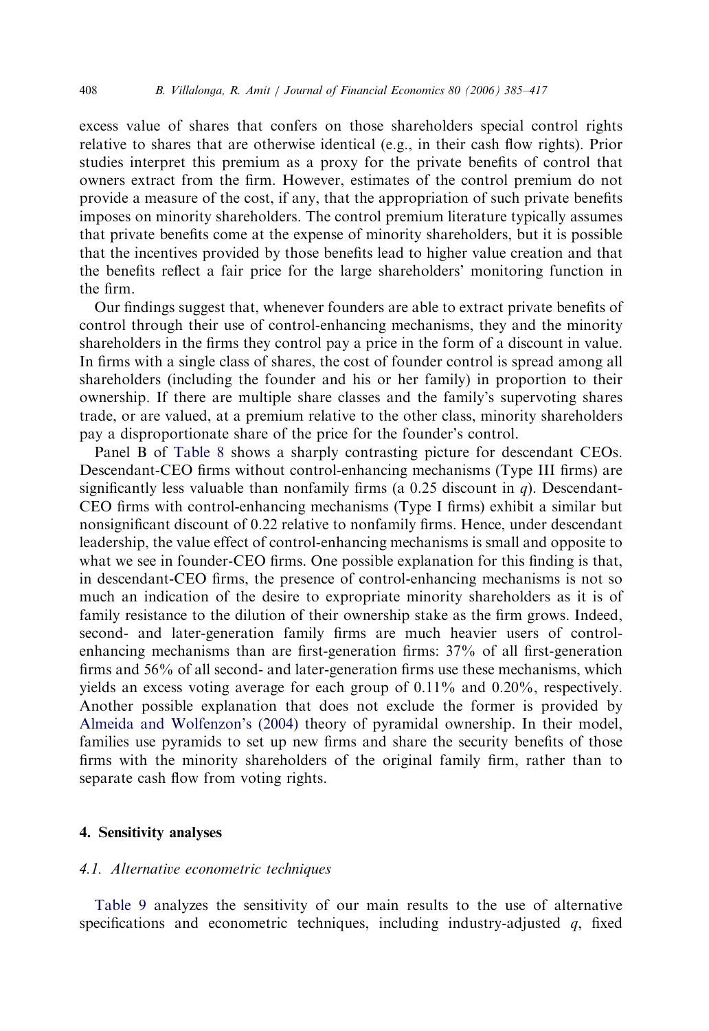excess value of shares that confers on those shareholders special control rights relative to shares that are otherwise identical (e.g., in their cash flow rights). Prior studies interpret this premium as a proxy for the private benefits of control that owners extract from the firm. However, estimates of the control premium do not provide a measure of the cost, if any, that the appropriation of such private benefits imposes on minority shareholders. The control premium literature typically assumes that private benefits come at the expense of minority shareholders, but it is possible that the incentives provided by those benefits lead to higher value creation and that the benefits reflect a fair price for the large shareholders' monitoring function in the firm.

Our findings suggest that, whenever founders are able to extract private benefits of control through their use of control-enhancing mechanisms, they and the minority shareholders in the firms they control pay a price in the form of a discount in value. In firms with a single class of shares, the cost of founder control is spread among all shareholders (including the founder and his or her family) in proportion to their ownership. If there are multiple share classes and the family's supervoting shares trade, or are valued, at a premium relative to the other class, minority shareholders pay a disproportionate share of the price for the founder's control.

Panel B of [Table 8](#page-22-0) shows a sharply contrasting picture for descendant CEOs. Descendant-CEO firms without control-enhancing mechanisms (Type III firms) are significantly less valuable than nonfamily firms (a  $0.25$  discount in q). Descendant-CEO firms with control-enhancing mechanisms (Type I firms) exhibit a similar but nonsignificant discount of 0.22 relative to nonfamily firms. Hence, under descendant leadership, the value effect of control-enhancing mechanisms is small and opposite to what we see in founder-CEO firms. One possible explanation for this finding is that, in descendant-CEO firms, the presence of control-enhancing mechanisms is not so much an indication of the desire to expropriate minority shareholders as it is of family resistance to the dilution of their ownership stake as the firm grows. Indeed, second- and later-generation family firms are much heavier users of controlenhancing mechanisms than are first-generation firms: 37% of all first-generation firms and 56% of all second- and later-generation firms use these mechanisms, which yields an excess voting average for each group of 0.11% and 0.20%, respectively. Another possible explanation that does not exclude the former is provided by [Almeida and Wolfenzon's \(2004\)](#page-30-0) theory of pyramidal ownership. In their model, families use pyramids to set up new firms and share the security benefits of those firms with the minority shareholders of the original family firm, rather than to separate cash flow from voting rights.

## 4. Sensitivity analyses

#### 4.1. Alternative econometric techniques

[Table 9](#page-24-0) analyzes the sensitivity of our main results to the use of alternative specifications and econometric techniques, including industry-adjusted  $q$ , fixed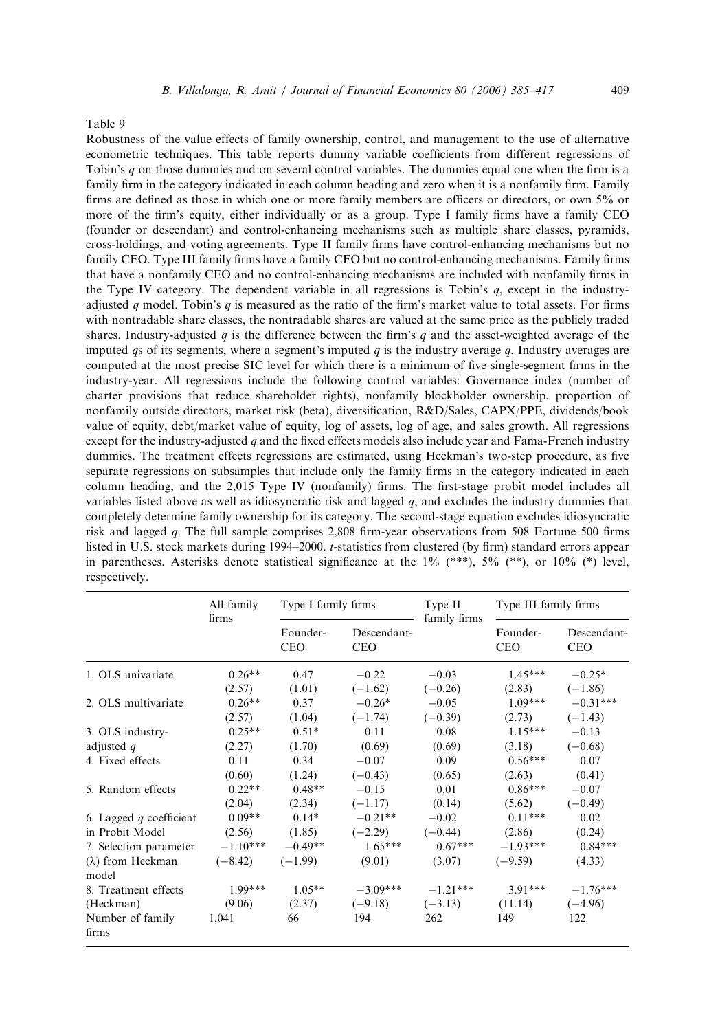<span id="page-24-0"></span>Robustness of the value effects of family ownership, control, and management to the use of alternative econometric techniques. This table reports dummy variable coefficients from different regressions of Tobin's q on those dummies and on several control variables. The dummies equal one when the firm is a family firm in the category indicated in each column heading and zero when it is a nonfamily firm. Family firms are defined as those in which one or more family members are officers or directors, or own 5% or more of the firm's equity, either individually or as a group. Type I family firms have a family CEO (founder or descendant) and control-enhancing mechanisms such as multiple share classes, pyramids, cross-holdings, and voting agreements. Type II family firms have control-enhancing mechanisms but no family CEO. Type III family firms have a family CEO but no control-enhancing mechanisms. Family firms that have a nonfamily CEO and no control-enhancing mechanisms are included with nonfamily firms in the Type IV category. The dependent variable in all regressions is Tobin's  $q$ , except in the industryadjusted q model. Tobin's q is measured as the ratio of the firm's market value to total assets. For firms with nontradable share classes, the nontradable shares are valued at the same price as the publicly traded shares. Industry-adjusted q is the difference between the firm's q and the asset-weighted average of the imputed  $q_s$  of its segments, where a segment's imputed  $q$  is the industry average  $q$ . Industry averages are computed at the most precise SIC level for which there is a minimum of five single-segment firms in the industry-year. All regressions include the following control variables: Governance index (number of charter provisions that reduce shareholder rights), nonfamily blockholder ownership, proportion of nonfamily outside directors, market risk (beta), diversification, R&D/Sales, CAPX/PPE, dividends/book value of equity, debt/market value of equity, log of assets, log of age, and sales growth. All regressions except for the industry-adjusted  $q$  and the fixed effects models also include year and Fama-French industry dummies. The treatment effects regressions are estimated, using Heckman's two-step procedure, as five separate regressions on subsamples that include only the family firms in the category indicated in each column heading, and the 2,015 Type IV (nonfamily) firms. The first-stage probit model includes all variables listed above as well as idiosyncratic risk and lagged  $q$ , and excludes the industry dummies that completely determine family ownership for its category. The second-stage equation excludes idiosyncratic risk and lagged q. The full sample comprises 2,808 firm-year observations from 508 Fortune 500 firms listed in U.S. stock markets during 1994–2000. t-statistics from clustered (by firm) standard errors appear in parentheses. Asterisks denote statistical significance at the  $1\%$  (\*\*\*),  $5\%$  (\*\*), or  $10\%$  (\*) level, respectively.

|                           | All family<br>firms | Type I family firms    |                           | Type II<br>family firms | Type III family firms  |                           |
|---------------------------|---------------------|------------------------|---------------------------|-------------------------|------------------------|---------------------------|
|                           |                     | Founder-<br><b>CEO</b> | Descendant-<br><b>CEO</b> |                         | Founder-<br><b>CEO</b> | Descendant-<br><b>CEO</b> |
| 1. OLS univariate         | $0.26**$            | 0.47                   | $-0.22$                   | $-0.03$                 | $1.45***$              | $-0.25*$                  |
|                           | (2.57)              | (1.01)                 | $(-1.62)$                 | $(-0.26)$               | (2.83)                 | $(-1.86)$                 |
| 2. OLS multivariate       | $0.26**$            | 0.37                   | $-0.26*$                  | $-0.05$                 | $1.09***$              | $-0.31***$                |
|                           | (2.57)              | (1.04)                 | $(-1.74)$                 | $(-0.39)$               | (2.73)                 | $(-1.43)$                 |
| 3. OLS industry-          | $0.25**$            | $0.51*$                | 0.11                      | 0.08                    | $1.15***$              | $-0.13$                   |
| adjusted $q$              | (2.27)              | (1.70)                 | (0.69)                    | (0.69)                  | (3.18)                 | $(-0.68)$                 |
| 4. Fixed effects          | 0.11                | 0.34                   | $-0.07$                   | 0.09                    | $0.56***$              | 0.07                      |
|                           | (0.60)              | (1.24)                 | $(-0.43)$                 | (0.65)                  | (2.63)                 | (0.41)                    |
| 5. Random effects         | $0.22**$            | $0.48**$               | $-0.15$                   | 0.01                    | $0.86***$              | $-0.07$                   |
|                           | (2.04)              | (2.34)                 | $(-1.17)$                 | (0.14)                  | (5.62)                 | $(-0.49)$                 |
| 6. Lagged $q$ coefficient | $0.09**$            | $0.14*$                | $-0.21**$                 | $-0.02$                 | $0.11***$              | 0.02                      |
| in Probit Model           | (2.56)              | (1.85)                 | $(-2.29)$                 | $(-0.44)$               | (2.86)                 | (0.24)                    |
| 7. Selection parameter    | $-1.10***$          | $-0.49**$              | $1.65***$                 | $0.67***$               | $-1.93***$             | $0.84***$                 |
| $(\lambda)$ from Heckman  | $(-8.42)$           | $(-1.99)$              | (9.01)                    | (3.07)                  | $(-9.59)$              | (4.33)                    |
| model                     |                     |                        |                           |                         |                        |                           |
| 8. Treatment effects      | $1.99***$           | $1.05**$               | $-3.09***$                | $-1.21***$              | $3.91***$              | $-1.76***$                |
| (Heckman)                 | (9.06)              | (2.37)                 | $(-9.18)$                 | $(-3.13)$               | (11.14)                | $(-4.96)$                 |
| Number of family<br>firms | 1,041               | 66                     | 194                       | 262                     | 149                    | 122                       |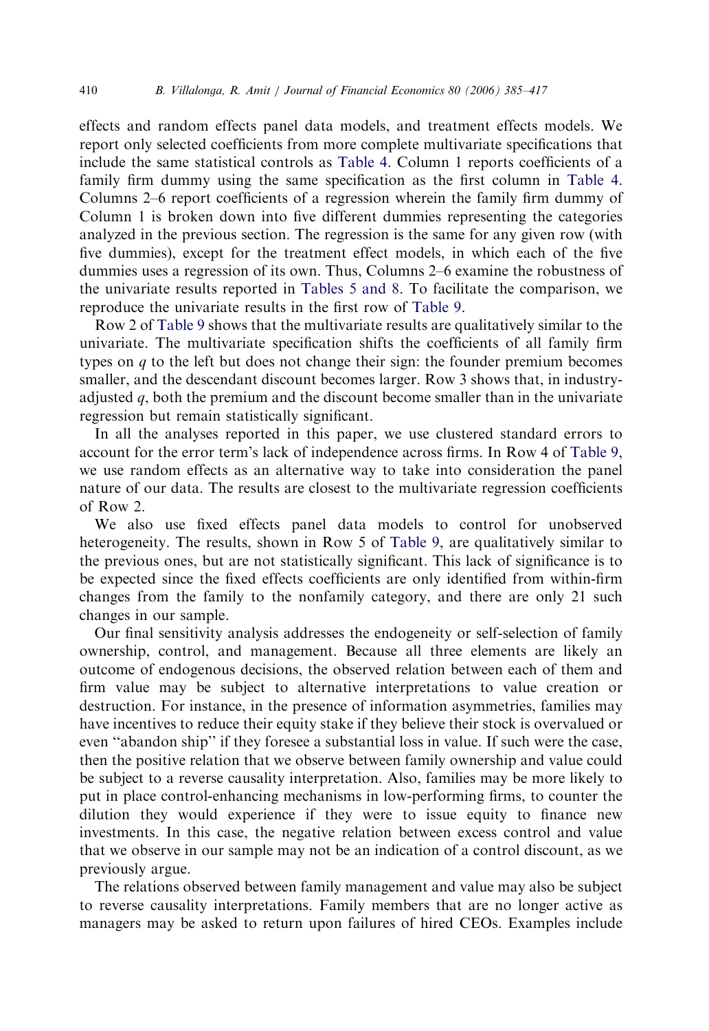effects and random effects panel data models, and treatment effects models. We report only selected coefficients from more complete multivariate specifications that include the same statistical controls as [Table 4.](#page-15-0) Column 1 reports coefficients of a family firm dummy using the same specification as the first column in [Table 4](#page-15-0). Columns 2–6 report coefficients of a regression wherein the family firm dummy of Column 1 is broken down into five different dummies representing the categories analyzed in the previous section. The regression is the same for any given row (with five dummies), except for the treatment effect models, in which each of the five dummies uses a regression of its own. Thus, Columns 2–6 examine the robustness of the univariate results reported in [Tables 5 and 8.](#page-18-0) To facilitate the comparison, we reproduce the univariate results in the first row of [Table 9.](#page-24-0)

Row 2 of [Table 9](#page-24-0) shows that the multivariate results are qualitatively similar to the univariate. The multivariate specification shifts the coefficients of all family firm types on  $q$  to the left but does not change their sign: the founder premium becomes smaller, and the descendant discount becomes larger. Row 3 shows that, in industryadjusted  $q$ , both the premium and the discount become smaller than in the univariate regression but remain statistically significant.

In all the analyses reported in this paper, we use clustered standard errors to account for the error term's lack of independence across firms. In Row 4 of [Table 9](#page-24-0), we use random effects as an alternative way to take into consideration the panel nature of our data. The results are closest to the multivariate regression coefficients of Row 2.

We also use fixed effects panel data models to control for unobserved heterogeneity. The results, shown in Row 5 of [Table 9](#page-24-0), are qualitatively similar to the previous ones, but are not statistically significant. This lack of significance is to be expected since the fixed effects coefficients are only identified from within-firm changes from the family to the nonfamily category, and there are only 21 such changes in our sample.

Our final sensitivity analysis addresses the endogeneity or self-selection of family ownership, control, and management. Because all three elements are likely an outcome of endogenous decisions, the observed relation between each of them and firm value may be subject to alternative interpretations to value creation or destruction. For instance, in the presence of information asymmetries, families may have incentives to reduce their equity stake if they believe their stock is overvalued or even ''abandon ship'' if they foresee a substantial loss in value. If such were the case, then the positive relation that we observe between family ownership and value could be subject to a reverse causality interpretation. Also, families may be more likely to put in place control-enhancing mechanisms in low-performing firms, to counter the dilution they would experience if they were to issue equity to finance new investments. In this case, the negative relation between excess control and value that we observe in our sample may not be an indication of a control discount, as we previously argue.

The relations observed between family management and value may also be subject to reverse causality interpretations. Family members that are no longer active as managers may be asked to return upon failures of hired CEOs. Examples include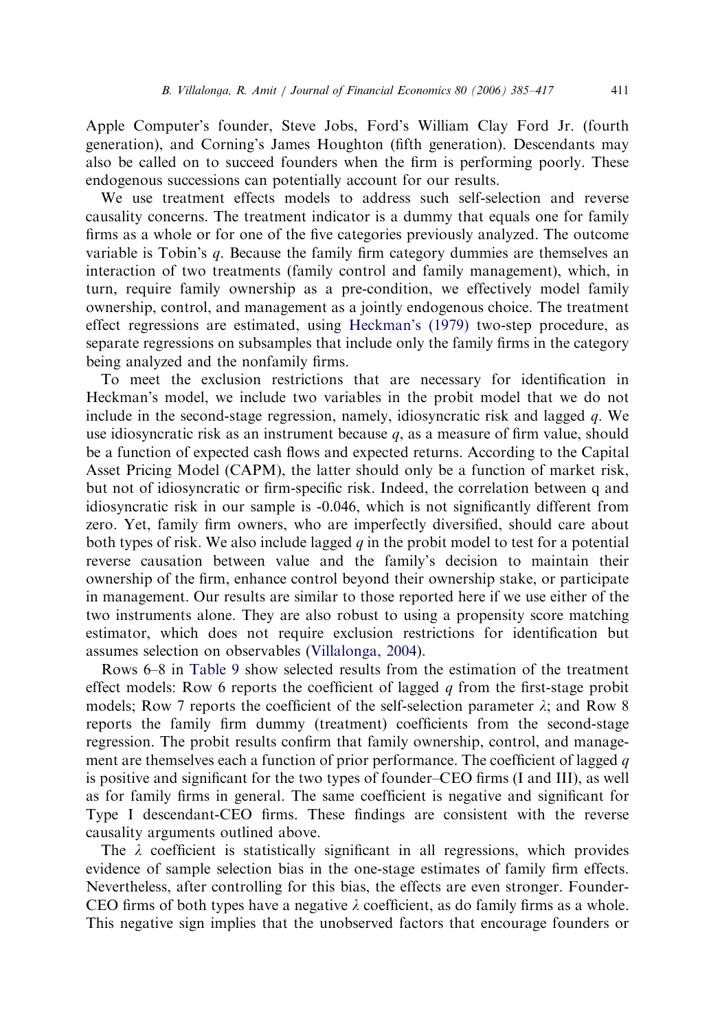Apple Computer's founder, Steve Jobs, Ford's William Clay Ford Jr. (fourth generation), and Corning's James Houghton (fifth generation). Descendants may also be called on to succeed founders when the firm is performing poorly. These endogenous successions can potentially account for our results.

We use treatment effects models to address such self-selection and reverse causality concerns. The treatment indicator is a dummy that equals one for family firms as a whole or for one of the five categories previously analyzed. The outcome variable is Tobin's q. Because the family firm category dummies are themselves an interaction of two treatments (family control and family management), which, in turn, require family ownership as a pre-condition, we effectively model family ownership, control, and management as a jointly endogenous choice. The treatment effect regressions are estimated, using [Heckman's \(1979\)](#page-31-0) two-step procedure, as separate regressions on subsamples that include only the family firms in the category being analyzed and the nonfamily firms.

To meet the exclusion restrictions that are necessary for identification in Heckman's model, we include two variables in the probit model that we do not include in the second-stage regression, namely, idiosyncratic risk and lagged  $q$ . We use idiosyncratic risk as an instrument because  $q$ , as a measure of firm value, should be a function of expected cash flows and expected returns. According to the Capital Asset Pricing Model (CAPM), the latter should only be a function of market risk, but not of idiosyncratic or firm-specific risk. Indeed, the correlation between q and idiosyncratic risk in our sample is -0.046, which is not significantly different from zero. Yet, family firm owners, who are imperfectly diversified, should care about both types of risk. We also include lagged  $q$  in the probit model to test for a potential reverse causation between value and the family's decision to maintain their ownership of the firm, enhance control beyond their ownership stake, or participate in management. Our results are similar to those reported here if we use either of the two instruments alone. They are also robust to using a propensity score matching estimator, which does not require exclusion restrictions for identification but assumes selection on observables [\(Villalonga, 2004](#page-32-0)).

Rows 6–8 in [Table 9](#page-24-0) show selected results from the estimation of the treatment effect models: Row 6 reports the coefficient of lagged  $q$  from the first-stage probit models; Row 7 reports the coefficient of the self-selection parameter  $\lambda$ ; and Row 8 reports the family firm dummy (treatment) coefficients from the second-stage regression. The probit results confirm that family ownership, control, and management are themselves each a function of prior performance. The coefficient of lagged  $q$ is positive and significant for the two types of founder–CEO firms (I and III), as well as for family firms in general. The same coefficient is negative and significant for Type I descendant-CEO firms. These findings are consistent with the reverse causality arguments outlined above.

The  $\lambda$  coefficient is statistically significant in all regressions, which provides evidence of sample selection bias in the one-stage estimates of family firm effects. Nevertheless, after controlling for this bias, the effects are even stronger. Founder-CEO firms of both types have a negative  $\lambda$  coefficient, as do family firms as a whole. This negative sign implies that the unobserved factors that encourage founders or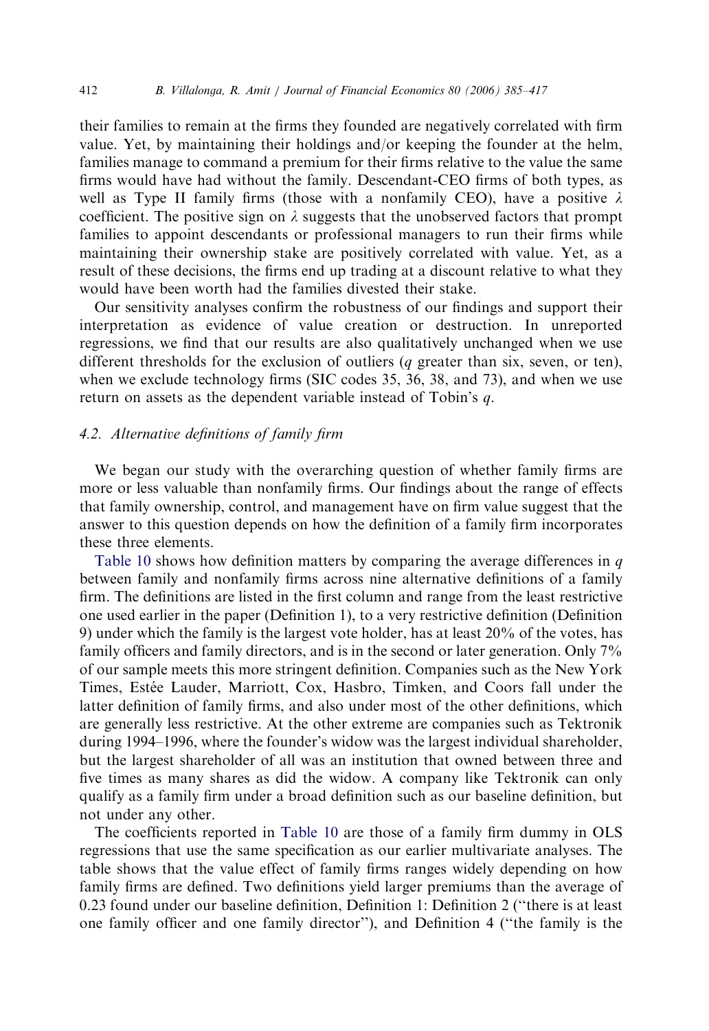their families to remain at the firms they founded are negatively correlated with firm value. Yet, by maintaining their holdings and/or keeping the founder at the helm, families manage to command a premium for their firms relative to the value the same firms would have had without the family. Descendant-CEO firms of both types, as well as Type II family firms (those with a nonfamily CEO), have a positive  $\lambda$ coefficient. The positive sign on  $\lambda$  suggests that the unobserved factors that prompt families to appoint descendants or professional managers to run their firms while maintaining their ownership stake are positively correlated with value. Yet, as a result of these decisions, the firms end up trading at a discount relative to what they would have been worth had the families divested their stake.

Our sensitivity analyses confirm the robustness of our findings and support their interpretation as evidence of value creation or destruction. In unreported regressions, we find that our results are also qualitatively unchanged when we use different thresholds for the exclusion of outliers (q greater than six, seven, or ten), when we exclude technology firms (SIC codes 35, 36, 38, and 73), and when we use return on assets as the dependent variable instead of Tobin's q.

## 4.2. Alternative definitions of family firm

We began our study with the overarching question of whether family firms are more or less valuable than nonfamily firms. Our findings about the range of effects that family ownership, control, and management have on firm value suggest that the answer to this question depends on how the definition of a family firm incorporates these three elements.

[Table 10](#page-28-0) shows how definition matters by comparing the average differences in  $q$ between family and nonfamily firms across nine alternative definitions of a family firm. The definitions are listed in the first column and range from the least restrictive one used earlier in the paper (Definition 1), to a very restrictive definition (Definition 9) under which the family is the largest vote holder, has at least 20% of the votes, has family officers and family directors, and is in the second or later generation. Only 7% of our sample meets this more stringent definition. Companies such as the New York Times, Estée Lauder, Marriott, Cox, Hasbro, Timken, and Coors fall under the latter definition of family firms, and also under most of the other definitions, which are generally less restrictive. At the other extreme are companies such as Tektronik during 1994–1996, where the founder's widow was the largest individual shareholder, but the largest shareholder of all was an institution that owned between three and five times as many shares as did the widow. A company like Tektronik can only qualify as a family firm under a broad definition such as our baseline definition, but not under any other.

The coefficients reported in [Table 10](#page-28-0) are those of a family firm dummy in OLS regressions that use the same specification as our earlier multivariate analyses. The table shows that the value effect of family firms ranges widely depending on how family firms are defined. Two definitions yield larger premiums than the average of 0.23 found under our baseline definition, Definition 1: Definition 2 (''there is at least one family officer and one family director''), and Definition 4 (''the family is the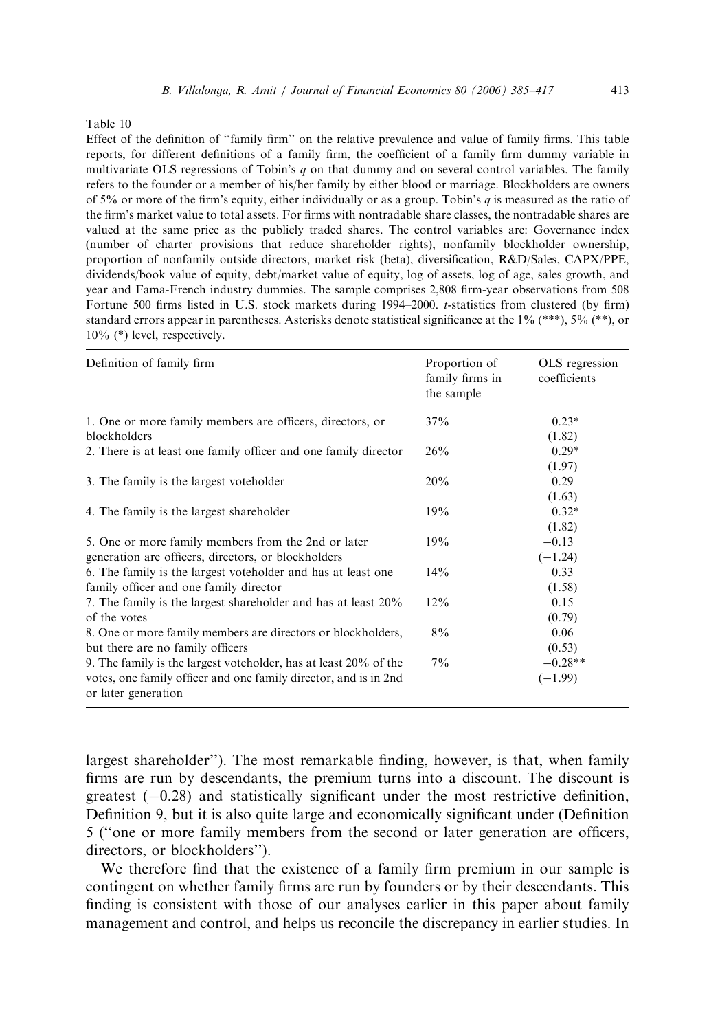<span id="page-28-0"></span>Effect of the definition of ''family firm'' on the relative prevalence and value of family firms. This table reports, for different definitions of a family firm, the coefficient of a family firm dummy variable in multivariate OLS regressions of Tobin's  $q$  on that dummy and on several control variables. The family refers to the founder or a member of his/her family by either blood or marriage. Blockholders are owners of 5% or more of the firm's equity, either individually or as a group. Tobin's q is measured as the ratio of the firm's market value to total assets. For firms with nontradable share classes, the nontradable shares are valued at the same price as the publicly traded shares. The control variables are: Governance index (number of charter provisions that reduce shareholder rights), nonfamily blockholder ownership, proportion of nonfamily outside directors, market risk (beta), diversification, R&D/Sales, CAPX/PPE, dividends/book value of equity, debt/market value of equity, log of assets, log of age, sales growth, and year and Fama-French industry dummies. The sample comprises 2,808 firm-year observations from 508 Fortune 500 firms listed in U.S. stock markets during 1994–2000. t-statistics from clustered (by firm) standard errors appear in parentheses. Asterisks denote statistical significance at the 1% (\*\*\*), 5% (\*\*), or 10% (\*) level, respectively.

| Definition of family firm                                                                                                                                      | Proportion of<br>family firms in<br>the sample | OLS regression<br>coefficients |
|----------------------------------------------------------------------------------------------------------------------------------------------------------------|------------------------------------------------|--------------------------------|
| 1. One or more family members are officers, directors, or<br>blockholders                                                                                      | 37%                                            | $0.23*$<br>(1.82)              |
| 2. There is at least one family officer and one family director                                                                                                | 26%                                            | $0.29*$<br>(1.97)              |
| 3. The family is the largest voteholder                                                                                                                        | 20%                                            | 0.29                           |
| 4. The family is the largest shareholder                                                                                                                       | 19%                                            | (1.63)<br>$0.32*$              |
| 5. One or more family members from the 2nd or later<br>generation are officers, directors, or blockholders                                                     | 19%                                            | (1.82)<br>$-0.13$<br>$(-1.24)$ |
| 6. The family is the largest voteholder and has at least one<br>family officer and one family director                                                         | 14%                                            | 0.33<br>(1.58)                 |
| 7. The family is the largest shareholder and has at least $20\%$<br>of the votes                                                                               | $12\%$                                         | 0.15<br>(0.79)                 |
| 8. One or more family members are directors or blockholders,<br>but there are no family officers                                                               | 8%                                             | 0.06<br>(0.53)                 |
| 9. The family is the largest voteholder, has at least $20\%$ of the<br>votes, one family officer and one family director, and is in 2nd<br>or later generation | $7\%$                                          | $-0.28**$<br>$(-1.99)$         |

largest shareholder''). The most remarkable finding, however, is that, when family firms are run by descendants, the premium turns into a discount. The discount is greatest  $(-0.28)$  and statistically significant under the most restrictive definition, Definition 9, but it is also quite large and economically significant under (Definition 5 (''one or more family members from the second or later generation are officers, directors, or blockholders'').

We therefore find that the existence of a family firm premium in our sample is contingent on whether family firms are run by founders or by their descendants. This finding is consistent with those of our analyses earlier in this paper about family management and control, and helps us reconcile the discrepancy in earlier studies. In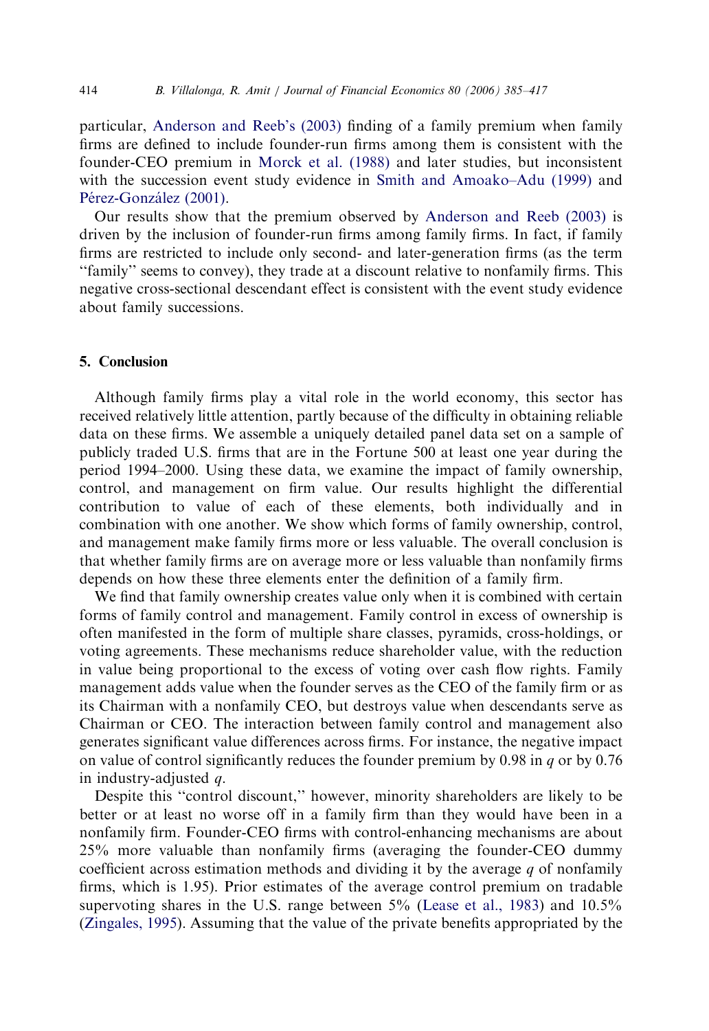particular, [Anderson and Reeb's \(2003\)](#page-30-0) finding of a family premium when family firms are defined to include founder-run firms among them is consistent with the founder-CEO premium in [Morck et al. \(1988\)](#page-32-0) and later studies, but inconsistent with the succession event study evidence in [Smith and Amoako–Adu \(1999\)](#page-32-0) and Pérez-González (2001).

Our results show that the premium observed by [Anderson and Reeb \(2003\)](#page-30-0) is driven by the inclusion of founder-run firms among family firms. In fact, if family firms are restricted to include only second- and later-generation firms (as the term ''family'' seems to convey), they trade at a discount relative to nonfamily firms. This negative cross-sectional descendant effect is consistent with the event study evidence about family successions.

## 5. Conclusion

Although family firms play a vital role in the world economy, this sector has received relatively little attention, partly because of the difficulty in obtaining reliable data on these firms. We assemble a uniquely detailed panel data set on a sample of publicly traded U.S. firms that are in the Fortune 500 at least one year during the period 1994–2000. Using these data, we examine the impact of family ownership, control, and management on firm value. Our results highlight the differential contribution to value of each of these elements, both individually and in combination with one another. We show which forms of family ownership, control, and management make family firms more or less valuable. The overall conclusion is that whether family firms are on average more or less valuable than nonfamily firms depends on how these three elements enter the definition of a family firm.

We find that family ownership creates value only when it is combined with certain forms of family control and management. Family control in excess of ownership is often manifested in the form of multiple share classes, pyramids, cross-holdings, or voting agreements. These mechanisms reduce shareholder value, with the reduction in value being proportional to the excess of voting over cash flow rights. Family management adds value when the founder serves as the CEO of the family firm or as its Chairman with a nonfamily CEO, but destroys value when descendants serve as Chairman or CEO. The interaction between family control and management also generates significant value differences across firms. For instance, the negative impact on value of control significantly reduces the founder premium by 0.98 in  $q$  or by 0.76 in industry-adjusted q.

Despite this ''control discount,'' however, minority shareholders are likely to be better or at least no worse off in a family firm than they would have been in a nonfamily firm. Founder-CEO firms with control-enhancing mechanisms are about 25% more valuable than nonfamily firms (averaging the founder-CEO dummy coefficient across estimation methods and dividing it by the average  $q$  of nonfamily firms, which is 1.95). Prior estimates of the average control premium on tradable supervoting shares in the U.S. range between 5% ([Lease et al., 1983\)](#page-31-0) and 10.5% ([Zingales, 1995\)](#page-32-0). Assuming that the value of the private benefits appropriated by the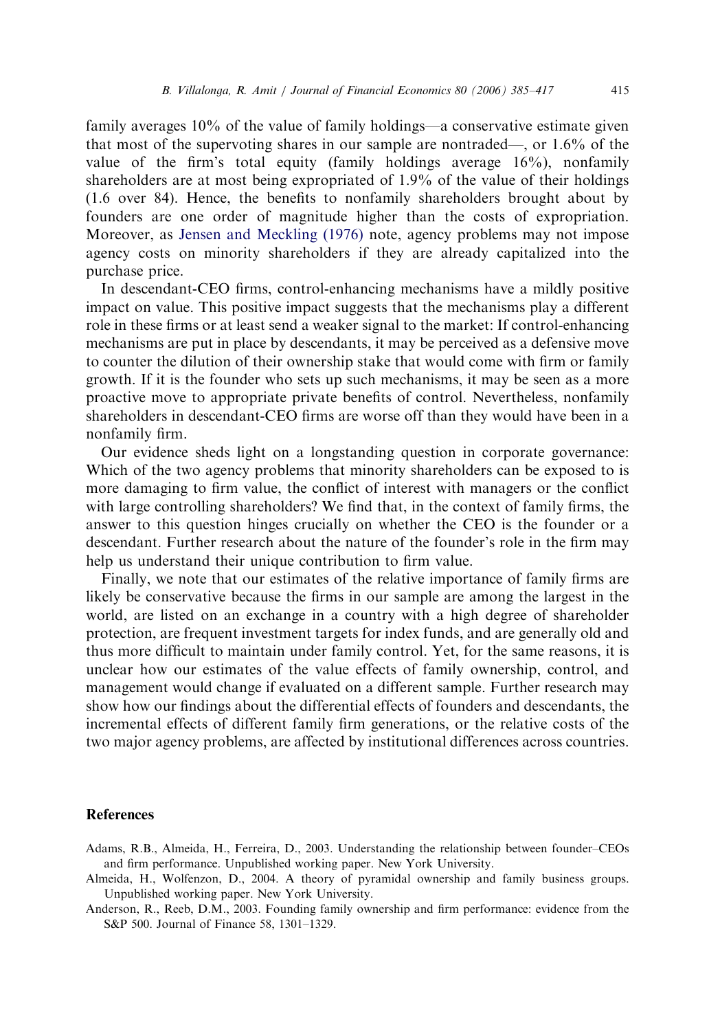<span id="page-30-0"></span>family averages 10% of the value of family holdings—a conservative estimate given that most of the supervoting shares in our sample are nontraded—, or 1.6% of the value of the firm's total equity (family holdings average 16%), nonfamily shareholders are at most being expropriated of 1.9% of the value of their holdings (1.6 over 84). Hence, the benefits to nonfamily shareholders brought about by founders are one order of magnitude higher than the costs of expropriation. Moreover, as [Jensen and Meckling \(1976\)](#page-31-0) note, agency problems may not impose agency costs on minority shareholders if they are already capitalized into the purchase price.

In descendant-CEO firms, control-enhancing mechanisms have a mildly positive impact on value. This positive impact suggests that the mechanisms play a different role in these firms or at least send a weaker signal to the market: If control-enhancing mechanisms are put in place by descendants, it may be perceived as a defensive move to counter the dilution of their ownership stake that would come with firm or family growth. If it is the founder who sets up such mechanisms, it may be seen as a more proactive move to appropriate private benefits of control. Nevertheless, nonfamily shareholders in descendant-CEO firms are worse off than they would have been in a nonfamily firm.

Our evidence sheds light on a longstanding question in corporate governance: Which of the two agency problems that minority shareholders can be exposed to is more damaging to firm value, the conflict of interest with managers or the conflict with large controlling shareholders? We find that, in the context of family firms, the answer to this question hinges crucially on whether the CEO is the founder or a descendant. Further research about the nature of the founder's role in the firm may help us understand their unique contribution to firm value.

Finally, we note that our estimates of the relative importance of family firms are likely be conservative because the firms in our sample are among the largest in the world, are listed on an exchange in a country with a high degree of shareholder protection, are frequent investment targets for index funds, and are generally old and thus more difficult to maintain under family control. Yet, for the same reasons, it is unclear how our estimates of the value effects of family ownership, control, and management would change if evaluated on a different sample. Further research may show how our findings about the differential effects of founders and descendants, the incremental effects of different family firm generations, or the relative costs of the two major agency problems, are affected by institutional differences across countries.

## References

- Adams, R.B., Almeida, H., Ferreira, D., 2003. Understanding the relationship between founder–CEOs and firm performance. Unpublished working paper. New York University.
- Almeida, H., Wolfenzon, D., 2004. A theory of pyramidal ownership and family business groups. Unpublished working paper. New York University.
- Anderson, R., Reeb, D.M., 2003. Founding family ownership and firm performance: evidence from the S&P 500. Journal of Finance 58, 1301–1329.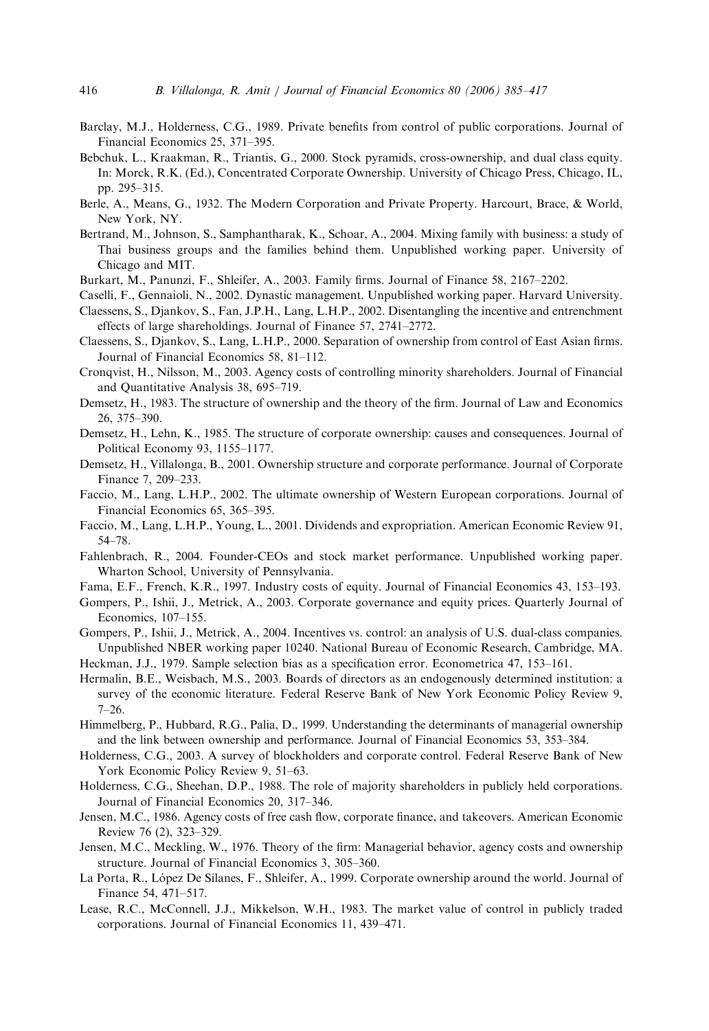- Barclay, M.J., Holderness, C.G., 1989. Private benefits from control of public corporations. Journal of Financial Economics 25, 371–395.
- Bebchuk, L., Kraakman, R., Triantis, G., 2000. Stock pyramids, cross-ownership, and dual class equity. In: Morck, R.K. (Ed.), Concentrated Corporate Ownership. University of Chicago Press, Chicago, IL, pp. 295–315.
- Berle, A., Means, G., 1932. The Modern Corporation and Private Property. Harcourt, Brace, & World, New York, NY.
- Bertrand, M., Johnson, S., Samphantharak, K., Schoar, A., 2004. Mixing family with business: a study of Thai business groups and the families behind them. Unpublished working paper. University of Chicago and MIT.
- Burkart, M., Panunzi, F., Shleifer, A., 2003. Family firms. Journal of Finance 58, 2167–2202.

Caselli, F., Gennaioli, N., 2002. Dynastic management. Unpublished working paper. Harvard University.

- Claessens, S., Djankov, S., Fan, J.P.H., Lang, L.H.P., 2002. Disentangling the incentive and entrenchment effects of large shareholdings. Journal of Finance 57, 2741–2772.
- Claessens, S., Djankov, S., Lang, L.H.P., 2000. Separation of ownership from control of East Asian firms. Journal of Financial Economics 58, 81–112.
- Cronqvist, H., Nilsson, M., 2003. Agency costs of controlling minority shareholders. Journal of Financial and Quantitative Analysis 38, 695–719.
- Demsetz, H., 1983. The structure of ownership and the theory of the firm. Journal of Law and Economics 26, 375–390.
- Demsetz, H., Lehn, K., 1985. The structure of corporate ownership: causes and consequences. Journal of Political Economy 93, 1155–1177.
- Demsetz, H., Villalonga, B., 2001. Ownership structure and corporate performance. Journal of Corporate Finance 7, 209–233.
- Faccio, M., Lang, L.H.P., 2002. The ultimate ownership of Western European corporations. Journal of Financial Economics 65, 365–395.
- Faccio, M., Lang, L.H.P., Young, L., 2001. Dividends and expropriation. American Economic Review 91, 54–78.
- Fahlenbrach, R., 2004. Founder-CEOs and stock market performance. Unpublished working paper. Wharton School, University of Pennsylvania.
- Fama, E.F., French, K.R., 1997. Industry costs of equity. Journal of Financial Economics 43, 153–193.
- Gompers, P., Ishii, J., Metrick, A., 2003. Corporate governance and equity prices. Quarterly Journal of Economics, 107–155.
- Gompers, P., Ishii, J., Metrick, A., 2004. Incentives vs. control: an analysis of U.S. dual-class companies. Unpublished NBER working paper 10240. National Bureau of Economic Research, Cambridge, MA.
- Heckman, J.J., 1979. Sample selection bias as a specification error. Econometrica 47, 153–161.
- Hermalin, B.E., Weisbach, M.S., 2003. Boards of directors as an endogenously determined institution: a survey of the economic literature. Federal Reserve Bank of New York Economic Policy Review 9, 7–26.
- Himmelberg, P., Hubbard, R.G., Palia, D., 1999. Understanding the determinants of managerial ownership and the link between ownership and performance. Journal of Financial Economics 53, 353–384.
- Holderness, C.G., 2003. A survey of blockholders and corporate control. Federal Reserve Bank of New York Economic Policy Review 9, 51–63.
- Holderness, C.G., Sheehan, D.P., 1988. The role of majority shareholders in publicly held corporations. Journal of Financial Economics 20, 317–346.
- Jensen, M.C., 1986. Agency costs of free cash flow, corporate finance, and takeovers. American Economic Review 76 (2), 323–329.
- Jensen, M.C., Meckling, W., 1976. Theory of the firm: Managerial behavior, agency costs and ownership structure. Journal of Financial Economics 3, 305–360.
- La Porta, R., López De Silanes, F., Shleifer, A., 1999. Corporate ownership around the world. Journal of Finance 54, 471–517.
- Lease, R.C., McConnell, J.J., Mikkelson, W.H., 1983. The market value of control in publicly traded corporations. Journal of Financial Economics 11, 439–471.

<span id="page-31-0"></span>